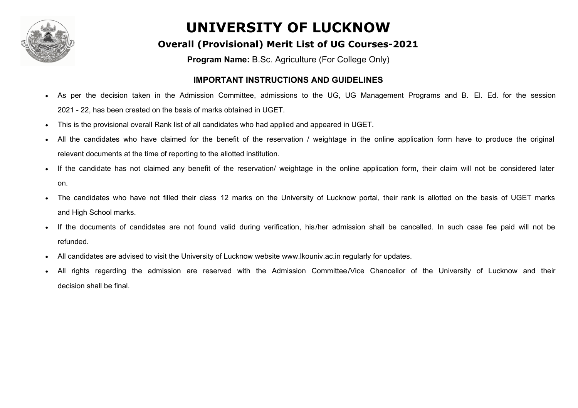

#### **Overall (Provisional) Merit List of UG Courses-2021**

**Program Name:** B.Sc. Agriculture (For College Only)

#### **IMPORTANT INSTRUCTIONS AND GUIDELINES**

- As per the decision taken in the Admission Committee, admissions to the UG, UG Management Programs and B. El. Ed. for the session 2021 - 22, has been created on the basis of marks obtained in UGET.
- This is the provisional overall Rank list of all candidates who had applied and appeared in UGET.
- All the candidates who have claimed for the benefit of the reservation / weightage in the online application form have to produce the original relevant documents at the time of reporting to the allotted institution.
- If the candidate has not claimed any benefit of the reservation/ weightage in the online application form, their claim will not be considered later on.
- The candidates who have not filled their class 12 marks on the University of Lucknow portal, their rank is allotted on the basis of UGET marks and High School marks.
- If the documents of candidates are not found valid during verification, his/her admission shall be cancelled. In such case fee paid will not be refunded.
- All candidates are advised to visit the University of Lucknow website www.lkouniv.ac.in regularly for updates.
- All rights regarding the admission are reserved with the Admission Committee/Vice Chancellor of the University of Lucknow and their decision shall be final.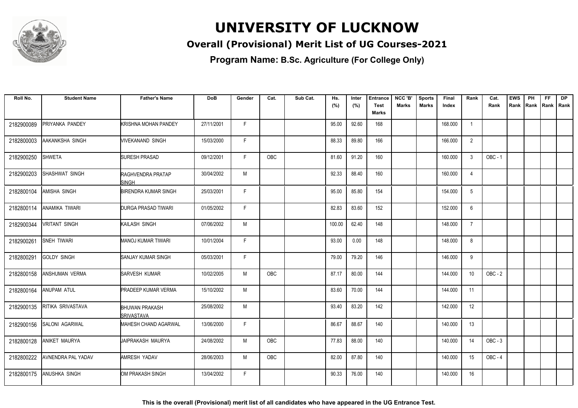

### **Overall (Provisional) Merit List of UG Courses-2021**

**Program Name: B.Sc. Agriculture (For College Only)**

| Roll No.   | <b>Student Name</b>   | <b>Father's Name</b>                       | <b>DoB</b> | Gender | Cat.       | Sub Cat. | Hs.    | Inter | <b>Entrance</b>             | NCC 'B'      | <b>Sports</b> | Final   | Rank           | Cat.           | <b>EWS</b> | PH   | FF.         | <b>DP</b> |
|------------|-----------------------|--------------------------------------------|------------|--------|------------|----------|--------|-------|-----------------------------|--------------|---------------|---------|----------------|----------------|------------|------|-------------|-----------|
|            |                       |                                            |            |        |            |          | (%)    | (%)   | <b>Test</b><br><b>Marks</b> | <b>Marks</b> | <b>Marks</b>  | Index   |                | Rank           | Rank       | Rank | Rank   Rank |           |
|            |                       |                                            |            |        |            |          |        |       |                             |              |               |         |                |                |            |      |             |           |
| 2182900089 | PRIYANKA PANDEY       | <b>KRISHNA MOHAN PANDEY</b>                | 27/11/2001 | F      |            |          | 95.00  | 92.60 | 168                         |              |               | 168.000 | $\overline{1}$ |                |            |      |             |           |
| 2182800003 | AAKANKSHA SINGH       | VIVEKANAND SINGH                           | 15/03/2000 | F.     |            |          | 88.33  | 89.80 | 166                         |              |               | 166.000 | 2              |                |            |      |             |           |
| 2182900250 | <b>SHWETA</b>         | <b>SURESH PRASAD</b>                       | 09/12/2001 | F.     | OBC        |          | 81.60  | 91.20 | 160                         |              |               | 160.000 | 3              | <b>OBC - 1</b> |            |      |             |           |
| 2182900203 | SHASHWAT SINGH        | RAGHVENDRA PRATAP<br><b>SINGH</b>          | 30/04/2002 | M      |            |          | 92.33  | 88.40 | 160                         |              |               | 160.000 | 4              |                |            |      |             |           |
| 2182800104 | AMISHA SINGH          | <b>BIRENDRA KUMAR SINGH</b>                | 25/03/2001 | F      |            |          | 95.00  | 85.80 | 154                         |              |               | 154.000 | 5              |                |            |      |             |           |
| 2182800114 | ANAMIKA TIWARI        | <b>DURGA PRASAD TIWARI</b>                 | 01/05/2002 | F      |            |          | 82.83  | 83.60 | 152                         |              |               | 152.000 | 6              |                |            |      |             |           |
| 2182900344 | <b>VRITANT SINGH</b>  | KAILASH SINGH                              | 07/06/2002 | M      |            |          | 100.00 | 62.40 | 148                         |              |               | 148.000 | $\overline{7}$ |                |            |      |             |           |
| 2182900261 | SNEH TIWARI           | <b>MANOJ KUMAR TIWARI</b>                  | 10/01/2004 | F      |            |          | 93.00  | 0.00  | 148                         |              |               | 148.000 | 8              |                |            |      |             |           |
| 2182800291 | <b>GOLDY SINGH</b>    | <b>SANJAY KUMAR SINGH</b>                  | 05/03/2001 | F      |            |          | 79.00  | 79.20 | 146                         |              |               | 146.000 | 9              |                |            |      |             |           |
| 2182800158 | ANSHUMAN VERMA        | SARVESH KUMAR                              | 10/02/2005 | M      | <b>OBC</b> |          | 87.17  | 80.00 | 144                         |              |               | 144.000 | 10             | $OBC - 2$      |            |      |             |           |
| 2182800164 | <b>ANUPAM ATUL</b>    | <b>PRADEEP KUMAR VERMA</b>                 | 15/10/2002 | M      |            |          | 83.60  | 70.00 | 144                         |              |               | 144.000 | 11             |                |            |      |             |           |
| 2182900135 | RITIKA SRIVASTAVA     | <b>BHUWAN PRAKASH</b><br><b>SRIVASTAVA</b> | 25/08/2002 | M      |            |          | 93.40  | 83.20 | 142                         |              |               | 142.000 | 12             |                |            |      |             |           |
| 2182900156 | <b>SALONI AGARWAL</b> | <b>MAHESH CHAND AGARWAL</b>                | 13/06/2000 | F.     |            |          | 86.67  | 88.67 | 140                         |              |               | 140.000 | 13             |                |            |      |             |           |
| 2182800128 | <b>ANIKET MAURYA</b>  | <b>JAIPRAKASH MAURYA</b>                   | 24/08/2002 | M      | OBC        |          | 77.83  | 88.00 | 140                         |              |               | 140.000 | 14             | $OBC - 3$      |            |      |             |           |
| 2182800222 | AVNENDRA PAL YADAV    | <b>AMRESH YADAV</b>                        | 28/06/2003 | M      | OBC        |          | 82.00  | 87.80 | 140                         |              |               | 140.000 | 15             | $OBC - 4$      |            |      |             |           |
| 2182800175 | ANUSHKA SINGH         | OM PRAKASH SINGH                           | 13/04/2002 | F.     |            |          | 90.33  | 76.00 | 140                         |              |               | 140.000 | 16             |                |            |      |             |           |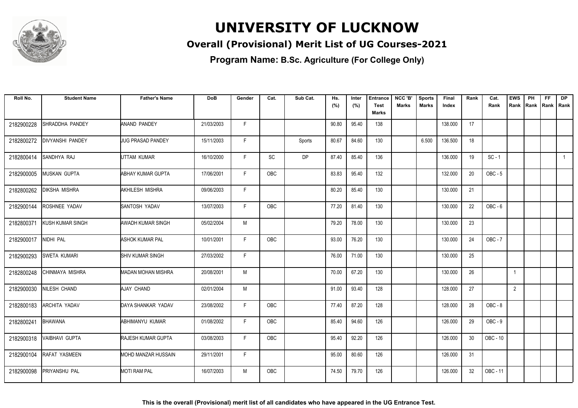

### **Overall (Provisional) Merit List of UG Courses-2021**

| Roll No.   | <b>Student Name</b>     | <b>Father's Name</b>         | <b>DoB</b> | Gender | Cat.       | Sub Cat.  | Hs.<br>(%) | Inter<br>(%) | <b>Entrance</b><br>Test | NCC 'B'<br>Marks | <b>Sports</b><br><b>Marks</b> | Final<br>Index | Rank | Cat.<br>Rank   | <b>EWS</b><br>Rank | PH<br>Rank | <b>FF</b><br>Rank   Rank | <b>DP</b>    |
|------------|-------------------------|------------------------------|------------|--------|------------|-----------|------------|--------------|-------------------------|------------------|-------------------------------|----------------|------|----------------|--------------------|------------|--------------------------|--------------|
|            |                         |                              |            |        |            |           |            |              | Marks                   |                  |                               |                |      |                |                    |            |                          |              |
| 2182900228 | SHRADDHA PANDEY         | ANAND PANDEY                 | 21/03/2003 | F.     |            |           | 90.80      | 95.40        | 138                     |                  |                               | 138.000        | 17   |                |                    |            |                          |              |
| 2182800272 | <b>DIVYANSHI PANDEY</b> | <b>JUG PRASAD PANDEY</b>     | 15/11/2003 | F.     |            | Sports    | 80.67      | 84.60        | 130                     |                  | 6.500                         | 136.500        | 18   |                |                    |            |                          |              |
| 2182800414 | SANDHYA RAJ             | UTTAM KUMAR                  | 16/10/2000 | F      | <b>SC</b>  | <b>DP</b> | 87.40      | 85.40        | 136                     |                  |                               | 136.000        | 19   | $SC - 1$       |                    |            |                          | $\mathbf{1}$ |
| 2182900005 | MUSKAN GUPTA            | <b>ABHAY KUMAR GUPTA</b>     | 17/06/2001 | F      | <b>OBC</b> |           | 83.83      | 95.40        | 132                     |                  |                               | 132.000        | 20   | $OBC - 5$      |                    |            |                          |              |
| 2182800262 | <b>DIKSHA MISHRA</b>    | AKHILESH MISHRA              | 09/06/2003 | F      |            |           | 80.20      | 85.40        | 130                     |                  |                               | 130.000        | 21   |                |                    |            |                          |              |
| 2182900144 | ROSHNEE YADAV           | SANTOSH YADAV                | 13/07/2003 | F.     | OBC        |           | 77.20      | 81.40        | 130                     |                  |                               | 130.000        | 22   | OBC-6          |                    |            |                          |              |
| 2182800371 | <b>KUSH KUMAR SINGH</b> | <b>AWADH KUMAR SINGH</b>     | 05/02/2004 | M      |            |           | 79.20      | 78.00        | 130                     |                  |                               | 130.000        | 23   |                |                    |            |                          |              |
| 2182900017 | NIDHI PAL               | <b>ASHOK KUMAR PAL</b>       | 10/01/2001 | F.     | <b>OBC</b> |           | 93.00      | 76.20        | 130                     |                  |                               | 130.000        | 24   | <b>OBC - 7</b> |                    |            |                          |              |
| 2182900293 | SWETA KUMARI            | <b>SHIV KUMAR SINGH</b>      | 27/03/2002 | F.     |            |           | 76.00      | 71.00        | 130                     |                  |                               | 130.000        | 25   |                |                    |            |                          |              |
| 2182800248 | CHINMAYA MISHRA         | MADAN MOHAN MISHRA           | 20/08/2001 | M      |            |           | 70.00      | 67.20        | 130                     |                  |                               | 130.000        | 26   |                | $\mathbf{1}$       |            |                          |              |
| 2182900030 | NILESH CHAND            | AJAY CHAND                   | 02/01/2004 | M      |            |           | 91.00      | 93.40        | 128                     |                  |                               | 128.000        | 27   |                | $\overline{2}$     |            |                          |              |
| 2182800183 | <b>ARCHITA YADAV</b>    | DAYA SHANKAR YADAV           | 23/08/2002 | F.     | <b>OBC</b> |           | 77.40      | 87.20        | 128                     |                  |                               | 128.000        | 28   | OBC-8          |                    |            |                          |              |
| 2182800241 | <b>BHAWANA</b>          | ABHIMANYU KUMAR              | 01/08/2002 | F.     | OBC        |           | 85.40      | 94.60        | 126                     |                  |                               | 126.000        | 29   | OBC-9          |                    |            |                          |              |
| 2182900318 | VAIBHAVI GUPTA          | <b>RAJESH KUMAR GUPTA</b>    | 03/08/2003 | F.     | <b>OBC</b> |           | 95.40      | 92.20        | 126                     |                  |                               | 126.000        | 30   | OBC - 10       |                    |            |                          |              |
| 2182900104 | RAFAT YASMEEN           | <b>I</b> MOHD MANZAR HUSSAIN | 29/11/2001 | F.     |            |           | 95.00      | 80.60        | 126                     |                  |                               | 126.000        | 31   |                |                    |            |                          |              |
| 2182900098 | PRIYANSHU PAL           | MOTI RAM PAL                 | 16/07/2003 | M      | OBC        |           | 74.50      | 79.70        | 126                     |                  |                               | 126.000        | 32   | OBC - 11       |                    |            |                          |              |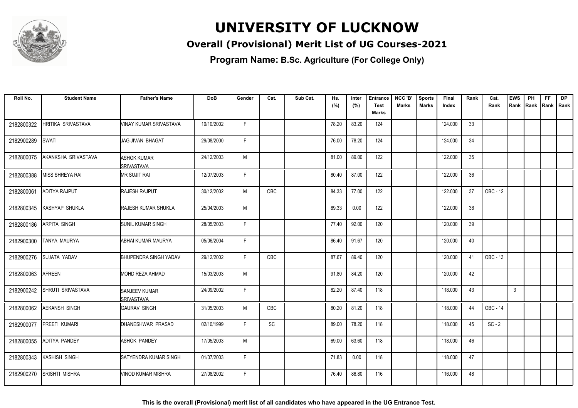

### **Overall (Provisional) Merit List of UG Courses-2021**

**Program Name: B.Sc. Agriculture (For College Only)**

| Roll No.   | <b>Student Name</b>  | <b>Father's Name</b>                      | <b>DoB</b> | Gender       | Cat.       | Sub Cat. | Hs.   | Inter | <b>Entrance</b> | NCC 'B'      | <b>Sports</b> | Final   | Rank | Cat.     | <b>EWS</b> | PH   | FF. | <b>DP</b>   |
|------------|----------------------|-------------------------------------------|------------|--------------|------------|----------|-------|-------|-----------------|--------------|---------------|---------|------|----------|------------|------|-----|-------------|
|            |                      |                                           |            |              |            |          | (%)   | (%)   | <b>Test</b>     | <b>Marks</b> | Marks         | Index   |      | Rank     | Rank       | Rank |     | Rank   Rank |
|            |                      |                                           |            |              |            |          |       |       | <b>Marks</b>    |              |               |         |      |          |            |      |     |             |
| 2182800322 | HRITIKA SRIVASTAVA   | <b>VINAY KUMAR SRIVASTAVA</b>             | 10/10/2002 | F            |            |          | 78.20 | 83.20 | 124             |              |               | 124.000 | 33   |          |            |      |     |             |
| 2182900289 | <b>SWATI</b>         | <b>JAG JIVAN BHAGAT</b>                   | 29/08/2000 | F.           |            |          | 76.00 | 78.20 | 124             |              |               | 124.000 | 34   |          |            |      |     |             |
| 2182800075 | AKANKSHA SRIVASTAVA  | <b>ASHOK KUMAR</b><br><b>SRIVASTAVA</b>   | 24/12/2003 | М            |            |          | 81.00 | 89.00 | 122             |              |               | 122.000 | 35   |          |            |      |     |             |
| 2182800388 | MISS SHREYA RAI      | <b>MR SUJIT RAI</b>                       | 12/07/2003 | F            |            |          | 80.40 | 87.00 | 122             |              |               | 122.000 | 36   |          |            |      |     |             |
| 2182800061 | ADITYA RAJPUT        | <b>RAJESH RAJPUT</b>                      | 30/12/2002 | M            | OBC        |          | 84.33 | 77.00 | 122             |              |               | 122.000 | 37   | OBC - 12 |            |      |     |             |
| 2182800345 | KASHYAP SHUKLA       | <b>RAJESH KUMAR SHUKLA</b>                | 25/04/2003 | M            |            |          | 89.33 | 0.00  | 122             |              |               | 122.000 | 38   |          |            |      |     |             |
| 2182800186 | ARPITA SINGH         | <b>SUNIL KUMAR SINGH</b>                  | 28/05/2003 | F            |            |          | 77.40 | 92.00 | 120             |              |               | 120.000 | 39   |          |            |      |     |             |
| 2182900300 | TANYA MAURYA         | ABHAI KUMAR MAURYA                        | 05/06/2004 | F            |            |          | 86.40 | 91.67 | 120             |              |               | 120.000 | 40   |          |            |      |     |             |
| 2182900276 | SUJATA YADAV         | <b>BHUPENDRA SINGH YADAV</b>              | 29/12/2002 | F            | <b>OBC</b> |          | 87.67 | 89.40 | 120             |              |               | 120.000 | 41   | OBC - 13 |            |      |     |             |
| 2182800063 | <b>AFREEN</b>        | <b>MOHD REZA AHMAD</b>                    | 15/03/2003 | M            |            |          | 91.80 | 84.20 | 120             |              |               | 120.000 | 42   |          |            |      |     |             |
| 2182900242 | SHRUTI SRIVASTAVA    | <b>SANJEEV KUMAR</b><br><b>SRIVASTAVA</b> | 24/09/2002 | $\mathsf{F}$ |            |          | 82.20 | 87.40 | 118             |              |               | 118.000 | 43   |          | 3          |      |     |             |
| 2182800062 | <b>AEKANSH SINGH</b> | <b>GAURAV SINGH</b>                       | 31/05/2003 | M            | OBC        |          | 80.20 | 81.20 | 118             |              |               | 118.000 | 44   | OBC - 14 |            |      |     |             |
| 2182900077 | PREETI KUMARI        | DHANESHWAR PRASAD                         | 02/10/1999 | E            | <b>SC</b>  |          | 89.00 | 78.20 | 118             |              |               | 118.000 | 45   | $SC - 2$ |            |      |     |             |
| 2182800055 | ADITYA PANDEY        | <b>ASHOK PANDEY</b>                       | 17/05/2003 | M            |            |          | 69.00 | 63.60 | 118             |              |               | 118.000 | 46   |          |            |      |     |             |
| 2182800343 | KASHISH SINGH        | SATYENDRA KUMAR SINGH                     | 01/07/2003 | F            |            |          | 71.83 | 0.00  | 118             |              |               | 118.000 | 47   |          |            |      |     |             |
| 2182900270 | SRISHTI MISHRA       | VINOD KUMAR MISHRA                        | 27/08/2002 | F.           |            |          | 76.40 | 86.80 | 116             |              |               | 116.000 | 48   |          |            |      |     |             |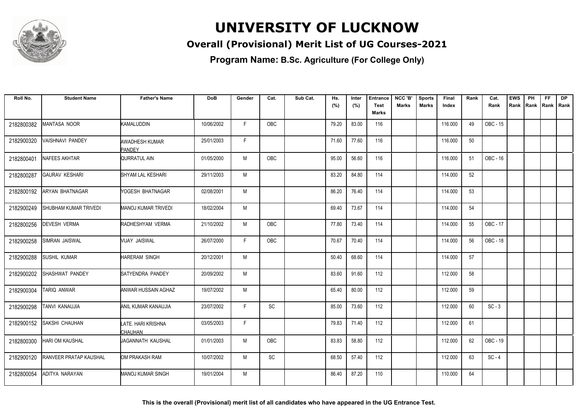

### **Overall (Provisional) Merit List of UG Courses-2021**

**Program Name: B.Sc. Agriculture (For College Only)**

| Roll No.   | <b>Student Name</b>    | <b>Father's Name</b>                   | <b>DoB</b> | Gender | Cat.       | Sub Cat. | Hs.   | Inter | <b>Entrance</b> | NCC 'B'      | <b>Sports</b> | Final   | Rank | Cat.     | <b>EWS</b> | PH   | FF.         | <b>DP</b> |
|------------|------------------------|----------------------------------------|------------|--------|------------|----------|-------|-------|-----------------|--------------|---------------|---------|------|----------|------------|------|-------------|-----------|
|            |                        |                                        |            |        |            |          | (%)   | (%)   | <b>Test</b>     | <b>Marks</b> | Marks         | Index   |      | Rank     | Rank       | Rank | Rank   Rank |           |
|            |                        |                                        |            |        |            |          |       |       | <b>Marks</b>    |              |               |         |      |          |            |      |             |           |
| 2182800382 | MANTASA NOOR           | <b>KAMALUDDIN</b>                      | 10/06/2002 | F.     | OBC        |          | 79.20 | 83.00 | 116             |              |               | 116.000 | 49   | OBC - 15 |            |      |             |           |
| 2182900320 | VAISHNAVI PANDEY       | <b>AWADHESH KUMAR</b><br><b>PANDEY</b> | 25/01/2003 | F.     |            |          | 71.60 | 77.60 | 116             |              |               | 116.000 | 50   |          |            |      |             |           |
| 2182800401 | NAFEES AKHTAR          | QURRATUL AIN                           | 01/05/2000 | M      | OBC        |          | 95.00 | 56.60 | 116             |              |               | 116.000 | 51   | OBC - 16 |            |      |             |           |
| 2182800287 | <b>GAURAV KESHARI</b>  | SHYAM LAL KESHARI                      | 29/11/2003 | M      |            |          | 83.20 | 84.80 | 114             |              |               | 114.000 | 52   |          |            |      |             |           |
| 2182800192 | ARYAN BHATNAGAR        | YOGESH BHATNAGAR                       | 02/08/2001 | M      |            |          | 86.20 | 76.40 | 114             |              |               | 114.000 | 53   |          |            |      |             |           |
| 2182900249 | SHUBHAM KUMAR TRIVEDI  | <b>MANOJ KUMAR TRIVEDI</b>             | 18/02/2004 | M      |            |          | 69.40 | 73.67 | 114             |              |               | 114.000 | 54   |          |            |      |             |           |
| 2182800256 | DEVESH VERMA           | RADHESHYAM VERMA                       | 21/10/2002 | M      | OBC        |          | 77.80 | 73.40 | 114             |              |               | 114.000 | 55   | OBC - 17 |            |      |             |           |
| 2182900258 | SIMRAN JAISWAL         | VIJAY JAISWAL                          | 26/07/2000 | F      | OBC        |          | 70.67 | 70.40 | 114             |              |               | 114.000 | 56   | OBC - 18 |            |      |             |           |
| 2182900288 | SUSHIL KUMAR           | <b>HARERAM SINGH</b>                   | 20/12/2001 | M      |            |          | 50.40 | 68.60 | 114             |              |               | 114.000 | 57   |          |            |      |             |           |
| 2182900202 | SHASHWAT PANDEY        | SATYENDRA PANDEY                       | 20/09/2002 | M      |            |          | 83.60 | 91.60 | 112             |              |               | 112.000 | 58   |          |            |      |             |           |
| 2182900304 | TARIQ ANWAR            | <b>ANWAR HUSSAIN AGHAZ</b>             | 19/07/2002 | M      |            |          | 65.40 | 80.00 | 112             |              |               | 112.000 | 59   |          |            |      |             |           |
| 2182900298 | TANVI KANAUJIA         | <b>ANIL KUMAR KANAUJIA</b>             | 23/07/2002 | E      | <b>SC</b>  |          | 85.00 | 73.60 | 112             |              |               | 112.000 | 60   | $SC - 3$ |            |      |             |           |
| 2182900152 | SAKSHI CHAUHAN         | LATE. HARI KRISHNA<br>CHAUHAN          | 03/05/2003 | F.     |            |          | 79.83 | 71.40 | 112             |              |               | 112.000 | 61   |          |            |      |             |           |
| 2182800300 | <b>HARI OM KAUSHAL</b> | <b>JAGANNATH KAUSHAL</b>               | 01/01/2003 | M      | <b>OBC</b> |          | 83.83 | 58.80 | 112             |              |               | 112.000 | 62   | OBC - 19 |            |      |             |           |
| 2182900120 | RANVEER PRATAP KAUSHAL | OM PRAKASH RAM                         | 10/07/2002 | M      | <b>SC</b>  |          | 68.50 | 57.40 | 112             |              |               | 112.000 | 63   | $SC - 4$ |            |      |             |           |
| 2182800054 | ADITYA NARAYAN         | <b>MANOJ KUMAR SINGH</b>               | 19/01/2004 | M      |            |          | 86.40 | 87.20 | 110             |              |               | 110.000 | 64   |          |            |      |             |           |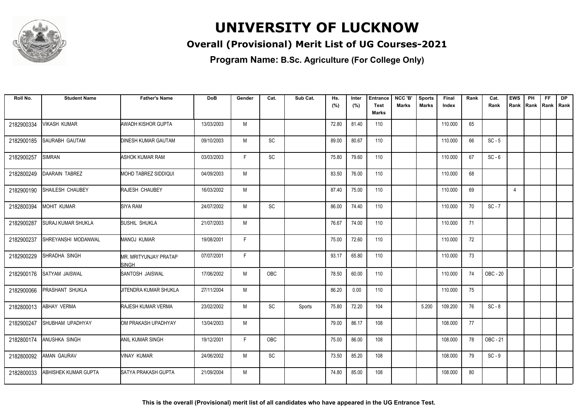

### **Overall (Provisional) Merit List of UG Courses-2021**

| Roll No.   | <b>Student Name</b>   | <b>Father's Name</b>                  | <b>DoB</b> | Gender | Cat.      | Sub Cat. | Hs.   | Inter | <b>Entrance</b>      | NCC 'B'      | <b>Sports</b> | Final   | Rank | Cat.     | <b>EWS</b>     | PH   | FF.         | <b>DP</b> |
|------------|-----------------------|---------------------------------------|------------|--------|-----------|----------|-------|-------|----------------------|--------------|---------------|---------|------|----------|----------------|------|-------------|-----------|
|            |                       |                                       |            |        |           |          | (%)   | (%)   | <b>Test</b><br>Marks | <b>Marks</b> | Marks         | Index   |      | Rank     | Rank           | Rank | Rank   Rank |           |
|            |                       |                                       |            |        |           |          |       |       |                      |              |               |         |      |          |                |      |             |           |
| 2182900334 | <b>VIKASH KUMAR</b>   | <b>AWADH KISHOR GUPTA</b>             | 13/03/2003 | M      |           |          | 72.80 | 81.40 | 110                  |              |               | 110.000 | 65   |          |                |      |             |           |
| 2182900185 | SAURABH GAUTAM        | <b>DINESH KUMAR GAUTAM</b>            | 09/10/2003 | M      | SC        |          | 89.00 | 80.67 | 110                  |              |               | 110.000 | 66   | $SC - 5$ |                |      |             |           |
| 2182900257 | <b>SIMRAN</b>         | <b>ASHOK KUMAR RAM</b>                | 03/03/2003 | F.     | SC        |          | 75.80 | 79.60 | 110                  |              |               | 110.000 | 67   | $SC - 6$ |                |      |             |           |
| 2182800249 | <b>DAARAIN TABREZ</b> | <b>MOHD TABREZ SIDDIQUI</b>           | 04/09/2003 | M      |           |          | 83.50 | 76.00 | 110                  |              |               | 110.000 | 68   |          |                |      |             |           |
| 2182900190 | SHAILESH CHAUBEY      | RAJESH CHAUBEY                        | 16/03/2002 | M      |           |          | 87.40 | 75.00 | 110                  |              |               | 110.000 | 69   |          | $\overline{4}$ |      |             |           |
| 2182800394 | MOHIT KUMAR           | <b>SIYA RAM</b>                       | 24/07/2002 | M      | SC        |          | 86.00 | 74.40 | 110                  |              |               | 110.000 | 70   | $SC - 7$ |                |      |             |           |
| 2182900287 | SURAJ KUMAR SHUKLA    | <b>SUSHIL SHUKLA</b>                  | 21/07/2003 | M      |           |          | 76.67 | 74.00 | 110                  |              |               | 110.000 | 71   |          |                |      |             |           |
| 2182900237 | SHREYANSHI MODANWAL   | <b>MANOJ KUMAR</b>                    | 19/08/2001 | F      |           |          | 75.00 | 72.60 | 110                  |              |               | 110.000 | 72   |          |                |      |             |           |
| 2182900229 | SHRADHA SINGH         | MR. MRITYUNJAY PRATAP<br><b>SINGH</b> | 07/07/2001 | F.     |           |          | 93.17 | 65.80 | 110                  |              |               | 110.000 | 73   |          |                |      |             |           |
| 2182900176 | SATYAM JAISWAL        | SANTOSH JAISWAL                       | 17/06/2002 | M      | OBC       |          | 78.50 | 60.00 | 110                  |              |               | 110.000 | 74   | OBC - 20 |                |      |             |           |
| 2182900066 | PRASHANT SHUKLA       | JITENDRA KUMAR SHUKLA                 | 27/11/2004 | M      |           |          | 86.20 | 0.00  | 110                  |              |               | 110.000 | 75   |          |                |      |             |           |
| 2182800013 | <b>ABHAY VERMA</b>    | <b>RAJESH KUMAR VERMA</b>             | 23/02/2002 | M      | <b>SC</b> | Sports   | 75.80 | 72.20 | 104                  |              | 5.200         | 109.200 | 76   | $SC - 8$ |                |      |             |           |
| 2182900247 | SHUBHAM UPADHYAY      | OM PRAKASH UPADHYAY                   | 13/04/2003 | M      |           |          | 79.00 | 86.17 | 108                  |              |               | 108.000 | 77   |          |                |      |             |           |
| 2182800174 | <b>ANUSHKA SINGH</b>  | <b>ANIL KUMAR SINGH</b>               | 19/12/2001 | F      | OBC       |          | 75.00 | 86.00 | 108                  |              |               | 108.000 | 78   | OBC - 21 |                |      |             |           |
| 2182800092 | <b>AMAN GAURAV</b>    | <b>VINAY KUMAR</b>                    | 24/06/2002 | M      | SC        |          | 73.50 | 85.20 | 108                  |              |               | 108.000 | 79   | $SC - 9$ |                |      |             |           |
| 2182800033 | ABHISHEK KUMAR GUPTA  | SATYA PRAKASH GUPTA                   | 21/09/2004 | M      |           |          | 74.80 | 85.00 | 108                  |              |               | 108.000 | 80   |          |                |      |             |           |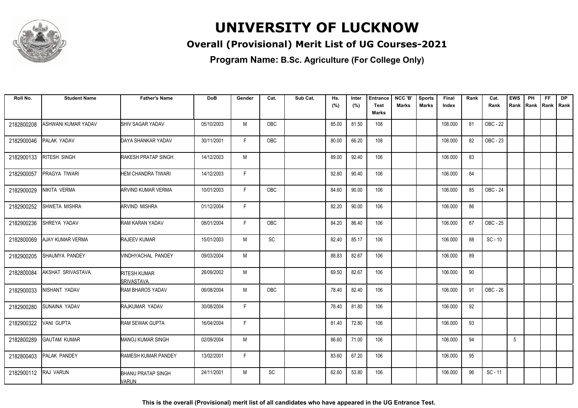

### **Overall (Provisional) Merit List of UG Courses-2021**

| Roll No.   | <b>Student Name</b> | <b>Father's Name</b>                      | <b>DoB</b> | Gender       | Cat.       | Sub Cat. | Hs.   | Inter | <b>Entrance</b> | NCC 'B'      | <b>Sports</b> | Final   | Rank | Cat.      | <b>EWS</b> | PH   | FF. | <b>DP</b>   |
|------------|---------------------|-------------------------------------------|------------|--------------|------------|----------|-------|-------|-----------------|--------------|---------------|---------|------|-----------|------------|------|-----|-------------|
|            |                     |                                           |            |              |            |          | (%)   | (%)   | <b>Test</b>     | <b>Marks</b> | Marks         | Index   |      | Rank      | Rank       | Rank |     | Rank   Rank |
|            |                     |                                           |            |              |            |          |       |       | <b>Marks</b>    |              |               |         |      |           |            |      |     |             |
| 2182800208 | ASHWANI KUMAR YADAV | SHIV SAGAR YADAV                          | 05/10/2003 | M            | OBC        |          | 85.00 | 81.50 | 108             |              |               | 108.000 | 81   | OBC - 22  |            |      |     |             |
| 2182900046 | PALAK YADAV         | DAYA SHANKAR YADAV                        | 30/11/2001 | F.           | OBC        |          | 80.00 | 66.20 | 108             |              |               | 108.000 | 82   | OBC - 23  |            |      |     |             |
| 2182900133 | RITESH SINGH        | <b>RAKESH PRATAP SINGH</b>                | 14/12/2003 | M            |            |          | 89.00 | 92.40 | 106             |              |               | 106.000 | 83   |           |            |      |     |             |
| 2182900057 | PRAGYA TIWARI       | <b>HEM CHANDRA TIWARI</b>                 | 14/12/2003 | F            |            |          | 92.80 | 90.40 | 106             |              |               | 106.000 | 84   |           |            |      |     |             |
| 2182900029 | NIKITA VERMA        | ARVIND KUMAR VERMA                        | 10/01/2003 | F            | OBC        |          | 84.60 | 90.00 | 106             |              |               | 106.000 | 85   | OBC - 24  |            |      |     |             |
| 2182900252 | SHWETA MISHRA       | <b>ARVIND MISHRA</b>                      | 01/12/2004 | F            |            |          | 82.20 | 90.00 | 106             |              |               | 106.000 | 86   |           |            |      |     |             |
| 2182900236 | SHREYA YADAV        | <b>RAM KARAN YADAV</b>                    | 08/01/2004 | F            | <b>OBC</b> |          | 84.20 | 86.40 | 106             |              |               | 106.000 | 87   | OBC - 25  |            |      |     |             |
| 2182800069 | AJAY KUMAR VERMA    | <b>RAJEEV KUMAR</b>                       | 15/01/2003 | M            | <b>SC</b>  |          | 82.40 | 85.17 | 106             |              |               | 106.000 | 88   | $SC - 10$ |            |      |     |             |
| 2182900205 | SHAUMYA PANDEY      | <b><i>NINDHYACHAL PANDEY</i></b>          | 09/03/2004 | M            |            |          | 88.83 | 82.67 | 106             |              |               | 106.000 | 89   |           |            |      |     |             |
| 2182800084 | AKSHAT SRIVASTAVA   | RITESH KUMAR<br><b>SRIVASTAVA</b>         | 26/09/2002 | M            |            |          | 69.50 | 82.67 | 106             |              |               | 106.000 | 90   |           |            |      |     |             |
| 2182900033 | NISHANT YADAV       | RAM BHAROS YADAV                          | 06/08/2004 | M            | OBC        |          | 78.40 | 82.40 | 106             |              |               | 106.000 | 91   | OBC - 26  |            |      |     |             |
| 2182900280 | SUNAINA YADAV       | RAJKUMAR YADAV                            | 30/08/2004 | $\mathsf{F}$ |            |          | 78.40 | 81.80 | 106             |              |               | 106.000 | 92   |           |            |      |     |             |
| 2182900322 | VANI GUPTA          | <b>RAM SEWAK GUPTA</b>                    | 16/04/2004 | F            |            |          | 81.40 | 72.80 | 106             |              |               | 106.000 | 93   |           |            |      |     |             |
| 2182800289 | <b>GAUTAM KUMAR</b> | <b>MANOJ KUMAR SINGH</b>                  | 02/09/2004 | M            |            |          | 86.60 | 71.00 | 106             |              |               | 106.000 | 94   |           | 5          |      |     |             |
| 2182800403 | PALAK PANDEY        | <b>RAMESH KUMAR PANDEY</b>                | 13/02/2001 | F            |            |          | 83.60 | 67.20 | 106             |              |               | 106.000 | 95   |           |            |      |     |             |
| 2182900112 | <b>RAJ VARUN</b>    | <b>BHANU PRATAP SINGH</b><br><b>VARUN</b> | 24/11/2001 | M            | <b>SC</b>  |          | 62.60 | 53.80 | 106             |              |               | 106.000 | 96   | $SC - 11$ |            |      |     |             |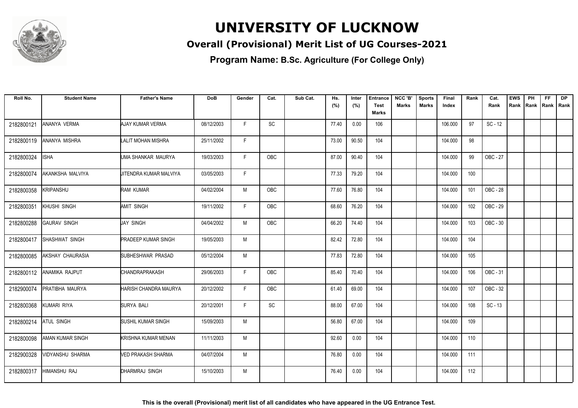

### **Overall (Provisional) Merit List of UG Courses-2021**

| Roll No.   | <b>Student Name</b> | <b>Father's Name</b>       | <b>DoB</b> | Gender | Cat.       | Sub Cat. | Hs.   | Inter | <b>Entrance</b> | NCC 'B' | <b>Sports</b> | Final   | Rank | Cat.      | <b>EWS</b> | PH   | FF.         | <b>DP</b> |
|------------|---------------------|----------------------------|------------|--------|------------|----------|-------|-------|-----------------|---------|---------------|---------|------|-----------|------------|------|-------------|-----------|
|            |                     |                            |            |        |            |          | (%)   | (%)   | <b>Test</b>     | Marks   | Marks         | Index   |      | Rank      | Rank       | Rank | Rank   Rank |           |
|            |                     |                            |            |        |            |          |       |       | Marks           |         |               |         |      |           |            |      |             |           |
| 2182800121 | ANANYA VERMA        | <b>AJAY KUMAR VERMA</b>    | 08/12/2003 | F      | <b>SC</b>  |          | 77.40 | 0.00  | 106             |         |               | 106.000 | 97   | $SC - 12$ |            |      |             |           |
| 2182800119 | ANANYA MISHRA       | <b>LALIT MOHAN MISHRA</b>  | 25/11/2002 | F.     |            |          | 73.00 | 90.50 | 104             |         |               | 104.000 | 98   |           |            |      |             |           |
| 2182800324 | <b>ISHA</b>         | UMA SHANKAR MAURYA         | 19/03/2003 | F      | <b>OBC</b> |          | 87.00 | 90.40 | 104             |         |               | 104.000 | 99   | OBC - 27  |            |      |             |           |
| 2182800074 | AKANKSHA MALVIYA    | UITENDRA KUMAR MALVIYA     | 03/05/2003 | F      |            |          | 77.33 | 79.20 | 104             |         |               | 104.000 | 100  |           |            |      |             |           |
| 2182800358 | KRIPANSHU           | <b>RAM KUMAR</b>           | 04/02/2004 | M      | OBC        |          | 77.60 | 76.80 | 104             |         |               | 104.000 | 101  | OBC - 28  |            |      |             |           |
| 2182800351 | KHUSHI SINGH        | <b>AMIT SINGH</b>          | 19/11/2002 | F.     | <b>OBC</b> |          | 68.60 | 76.20 | 104             |         |               | 104.000 | 102  | OBC - 29  |            |      |             |           |
| 2182800288 | <b>GAURAV SINGH</b> | <b>JAY SINGH</b>           | 04/04/2002 | M      | <b>OBC</b> |          | 66.20 | 74.40 | 104             |         |               | 104.000 | 103  | OBC - 30  |            |      |             |           |
| 2182800417 | SHASHWAT SINGH      | <b>PRADEEP KUMAR SINGH</b> | 19/05/2003 | M      |            |          | 82.42 | 72.80 | 104             |         |               | 104.000 | 104  |           |            |      |             |           |
| 2182800085 | AKSHAY CHAURASIA    | SUBHESHWAR PRASAD          | 05/12/2004 | M      |            |          | 77.83 | 72.80 | 104             |         |               | 104.000 | 105  |           |            |      |             |           |
| 2182800112 | ANAMIKA RAJPUT      | <b>CHANDRAPRAKASH</b>      | 29/06/2003 | F      | <b>OBC</b> |          | 85.40 | 70.40 | 104             |         |               | 104.000 | 106  | OBC - 31  |            |      |             |           |
| 2182900074 | PRATIBHA MAURYA     | HARISH CHANDRA MAURYA      | 20/12/2002 | F      | OBC        |          | 61.40 | 69.00 | 104             |         |               | 104.000 | 107  | OBC - 32  |            |      |             |           |
| 2182800368 | <b>KUMARI RIYA</b>  | SURYA BALI                 | 20/12/2001 | F.     | SC         |          | 88.00 | 67.00 | 104             |         |               | 104.000 | 108  | $SC - 13$ |            |      |             |           |
| 2182800214 | <b>ATUL SINGH</b>   | <b>SUSHIL KUMAR SINGH</b>  | 15/09/2003 | M      |            |          | 56.80 | 67.00 | 104             |         |               | 104.000 | 109  |           |            |      |             |           |
| 2182800098 | AMAN KUMAR SINGH    | <b>KRISHNA KUMAR MENAN</b> | 11/11/2003 | M      |            |          | 92.60 | 0.00  | 104             |         |               | 104.000 | 110  |           |            |      |             |           |
| 2182900328 | VIDYANSHU SHARMA    | VED PRAKASH SHARMA         | 04/07/2004 | M      |            |          | 76.80 | 0.00  | 104             |         |               | 104.000 | 111  |           |            |      |             |           |
| 2182800317 | HIMANSHU RAJ        | DHARMRAJ SINGH             | 15/10/2003 | M      |            |          | 76.40 | 0.00  | 104             |         |               | 104.000 | 112  |           |            |      |             |           |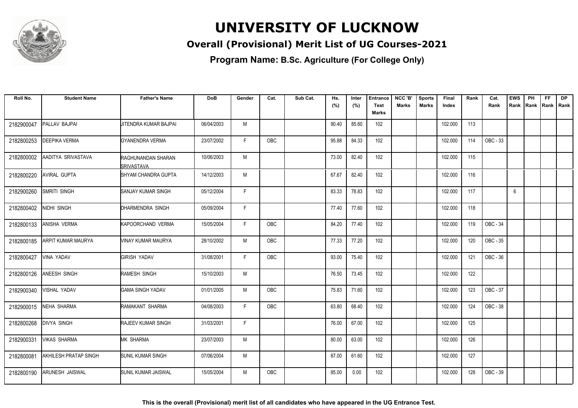

### **Overall (Provisional) Merit List of UG Courses-2021**

| Roll No.   | <b>Student Name</b>       | <b>Father's Name</b>                    | <b>DoB</b> | Gender | Cat.       | Sub Cat. | Hs.   | Inter | <b>Entrance</b>             | NCC 'B' | <b>Sports</b> | Final   | Rank | Cat.     | <b>EWS</b> | PH | <b>FF</b>          | <b>DP</b> |
|------------|---------------------------|-----------------------------------------|------------|--------|------------|----------|-------|-------|-----------------------------|---------|---------------|---------|------|----------|------------|----|--------------------|-----------|
|            |                           |                                         |            |        |            |          | (%)   | (%)   | <b>Test</b><br><b>Marks</b> | Marks   | Marks         | Index   |      | Rank     | Rank       |    | Rank   Rank   Rank |           |
|            |                           |                                         |            |        |            |          |       |       |                             |         |               |         |      |          |            |    |                    |           |
| 2182900047 | PALLAV BAJPAI             | <b>JITENDRA KUMAR BAJPAI</b>            | 06/04/2003 | M      |            |          | 90.40 | 85.60 | 102                         |         |               | 102.000 | 113  |          |            |    |                    |           |
| 2182800253 | <b>DEEPIKA VERMA</b>      | GYANENDRA VERMA                         | 23/07/2002 | F.     | OBC        |          | 95.88 | 84.33 | 102                         |         |               | 102.000 | 114  | OBC - 33 |            |    |                    |           |
| 2182800002 | AADITYA SRIVASTAVA        | RAGHUNANDAN SHARAN<br><b>SRIVASTAVA</b> | 10/06/2003 | M      |            |          | 73.00 | 82.40 | 102                         |         |               | 102.000 | 115  |          |            |    |                    |           |
| 2182800220 | <b>AVIRAL GUPTA</b>       | SHYAM CHANDRA GUPTA                     | 14/12/2003 | M      |            |          | 67.67 | 82.40 | 102                         |         |               | 102.000 | 116  |          |            |    |                    |           |
| 2182900260 | SMRITI SINGH              | <b>SANJAY KUMAR SINGH</b>               | 05/12/2004 | F.     |            |          | 83.33 | 78.83 | 102                         |         |               | 102.000 | 117  |          | 6          |    |                    |           |
| 2182800402 | NIDHI SINGH               | DHARMENDRA SINGH                        | 05/09/2004 | F      |            |          | 77.40 | 77.60 | 102                         |         |               | 102.000 | 118  |          |            |    |                    |           |
| 2182800133 | <b>ANISHA VERMA</b>       | KAPOORCHAND VERMA                       | 15/05/2004 | F      | <b>OBC</b> |          | 84.20 | 77.40 | 102                         |         |               | 102.000 | 119  | OBC - 34 |            |    |                    |           |
| 2182800185 | <b>ARPIT KUMAR MAURYA</b> | VINAY KUMAR MAURYA                      | 28/10/2002 | M      | OBC        |          | 77.33 | 77.20 | 102                         |         |               | 102.000 | 120  | OBC - 35 |            |    |                    |           |
| 2182800427 | <b>VINA YADAV</b>         | <b>GIRISH YADAV</b>                     | 31/08/2001 | F.     | <b>OBC</b> |          | 93.00 | 75.40 | 102                         |         |               | 102.000 | 121  | OBC - 36 |            |    |                    |           |
| 2182800126 | ANEESH SINGH              | RAMESH SINGH                            | 15/10/2003 | M      |            |          | 76.50 | 73.45 | 102                         |         |               | 102.000 | 122  |          |            |    |                    |           |
| 2182900340 | VISHAL YADAV              | <b>GAMA SINGH YADAV</b>                 | 01/01/2005 | M      | <b>OBC</b> |          | 75.83 | 71.60 | 102                         |         |               | 102.000 | 123  | OBC - 37 |            |    |                    |           |
| 2182900015 | <b>NEHA SHARMA</b>        | RAMAKANT SHARMA                         | 04/08/2003 | F.     | OBC        |          | 63.80 | 68.40 | 102                         |         |               | 102.000 | 124  | OBC - 38 |            |    |                    |           |
| 2182800268 | <b>DIVYA SINGH</b>        | <b>RAJEEV KUMAR SINGH</b>               | 31/03/2001 | F      |            |          | 76.00 | 67.00 | 102                         |         |               | 102.000 | 125  |          |            |    |                    |           |
| 2182900331 | <b>VIKAS SHARMA</b>       | MK SHARMA                               | 23/07/2003 | M      |            |          | 80.00 | 63.00 | 102                         |         |               | 102.000 | 126  |          |            |    |                    |           |
| 2182800081 | AKHILESH PRATAP SINGH     | <b>SUNIL KUMAR SINGH</b>                | 07/06/2004 | M      |            |          | 87.00 | 61.60 | 102                         |         |               | 102.000 | 127  |          |            |    |                    |           |
| 2182800190 | <b>ARUNESH JAISWAL</b>    | SUNIL KUMAR JAISWAL                     | 15/05/2004 | M      | OBC        |          | 85.00 | 0.00  | 102                         |         |               | 102.000 | 128  | OBC - 39 |            |    |                    |           |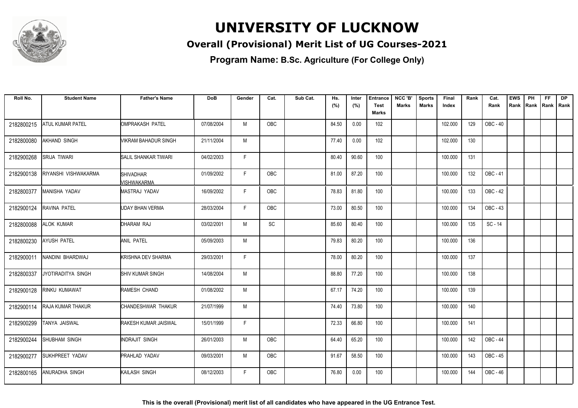

### **Overall (Provisional) Merit List of UG Courses-2021**

| Roll No.   | <b>Student Name</b>       | <b>Father's Name</b>            | <b>DoB</b> | Gender | Cat.       | Sub Cat. | Hs.   | Inter | <b>Entrance</b> | NCC 'B'      | <b>Sports</b> | Final   | Rank | Cat.      | <b>EWS</b> | PH   | FF.         | <b>DP</b> |
|------------|---------------------------|---------------------------------|------------|--------|------------|----------|-------|-------|-----------------|--------------|---------------|---------|------|-----------|------------|------|-------------|-----------|
|            |                           |                                 |            |        |            |          | (%)   | (%)   | Test<br>Marks   | <b>Marks</b> | <b>Marks</b>  | Index   |      | Rank      | Rank       | Rank | Rank   Rank |           |
|            |                           |                                 |            |        |            |          |       |       |                 |              |               |         |      |           |            |      |             |           |
| 2182800215 | <b>ATUL KUMAR PATEL</b>   | OMPRAKASH PATEL                 | 07/08/2004 | M      | OBC        |          | 84.50 | 0.00  | 102             |              |               | 102.000 | 129  | OBC - 40  |            |      |             |           |
| 2182800080 | <b>AKHAND SINGH</b>       | VIKRAM BAHADUR SINGH            | 21/11/2004 | M      |            |          | 77.40 | 0.00  | 102             |              |               | 102.000 | 130  |           |            |      |             |           |
| 2182900268 | <b>SRIJA TIWARI</b>       | SALIL SHANKAR TIWARI            | 04/02/2003 | F.     |            |          | 80.40 | 90.60 | 100             |              |               | 100.000 | 131  |           |            |      |             |           |
| 2182900138 | RIYANSHI VISHWAKARMA      | <b>SHIVADHAR</b><br>MISHWAKARMA | 01/09/2002 | F.     | OBC        |          | 81.00 | 87.20 | 100             |              |               | 100.000 | 132  | OBC - 41  |            |      |             |           |
| 2182800377 | MANISHA YADAV             | MASTRAJ YADAV                   | 16/09/2002 | F.     | OBC        |          | 78.83 | 81.80 | 100             |              |               | 100.000 | 133  | OBC - 42  |            |      |             |           |
| 2182900124 | RAVINA PATEL              | <b>UDAY BHAN VERMA</b>          | 28/03/2004 | F.     | OBC        |          | 73.00 | 80.50 | 100             |              |               | 100.000 | 134  | OBC - 43  |            |      |             |           |
| 2182800088 | <b>ALOK KUMAR</b>         | DHARAM RAJ                      | 03/02/2001 | M      | <b>SC</b>  |          | 85.60 | 80.40 | 100             |              |               | 100.000 | 135  | $SC - 14$ |            |      |             |           |
| 2182800230 | <b>AYUSH PATEL</b>        | ANIL PATEL                      | 05/09/2003 | M      |            |          | 79.83 | 80.20 | 100             |              |               | 100.000 | 136  |           |            |      |             |           |
| 2182900011 | NANDINI BHARDWAJ          | KRISHNA DEV SHARMA              | 29/03/2001 | F.     |            |          | 78.00 | 80.20 | 100             |              |               | 100.000 | 137  |           |            |      |             |           |
| 2182800337 | <b>JYOTIRADITYA SINGH</b> | <b>I</b> SHIV KUMAR SINGH       | 14/08/2004 | M      |            |          | 88.80 | 77.20 | 100             |              |               | 100.000 | 138  |           |            |      |             |           |
| 2182900128 | <b>RINKU KUMAWAT</b>      | RAMESH CHAND                    | 01/08/2002 | M      |            |          | 67.17 | 74.20 | 100             |              |               | 100.000 | 139  |           |            |      |             |           |
| 2182900114 | RAJA KUMAR THAKUR         | CHANDESHWAR THAKUR              | 21/07/1999 | M      |            |          | 74.40 | 73.80 | 100             |              |               | 100.000 | 140  |           |            |      |             |           |
| 2182900299 | <b>TANYA JAISWAL</b>      | <b>RAKESH KUMAR JAISWAL</b>     | 15/01/1999 | F.     |            |          | 72.33 | 66.80 | 100             |              |               | 100.000 | 141  |           |            |      |             |           |
| 2182900244 | SHUBHAM SINGH             | INDRAJIT SINGH                  | 26/01/2003 | M      | OBC        |          | 64.40 | 65.20 | 100             |              |               | 100.000 | 142  | OBC - 44  |            |      |             |           |
| 2182900277 | <b>SUKHPREET YADAV</b>    | <b>PRAHLAD YADAV</b>            | 09/03/2001 | M      | OBC        |          | 91.67 | 58.50 | 100             |              |               | 100.000 | 143  | OBC - 45  |            |      |             |           |
| 2182800165 | <b>ANURADHA SINGH</b>     | KAILASH SINGH                   | 08/12/2003 | F.     | <b>OBC</b> |          | 76.80 | 0.00  | 100             |              |               | 100.000 | 144  | OBC - 46  |            |      |             |           |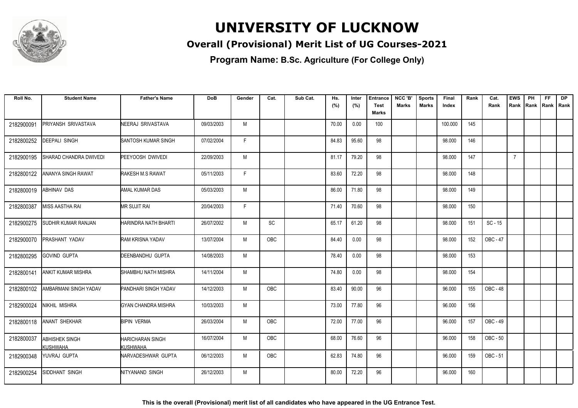

### **Overall (Provisional) Merit List of UG Courses-2021**

**Program Name: B.Sc. Agriculture (For College Only)**

| Roll No.   | <b>Student Name</b>                      | <b>Father's Name</b>                | <b>DoB</b> | Gender | Cat.       | Sub Cat. | Hs.<br>(%) | Inter<br>(%) | <b>Entrance</b><br>Test<br>Marks | NCC 'B'<br>Marks | <b>Sports</b><br>Marks | Final<br>Index | Rank | Cat.<br>Rank | <b>EWS</b><br>Rank | PH<br>Rank Rank Rank | <b>FF</b> | <b>DP</b> |
|------------|------------------------------------------|-------------------------------------|------------|--------|------------|----------|------------|--------------|----------------------------------|------------------|------------------------|----------------|------|--------------|--------------------|----------------------|-----------|-----------|
| 2182900091 | PRIYANSH SRIVASTAVA                      | NEERAJ SRIVASTAVA                   | 09/03/2003 | M      |            |          | 70.00      | 0.00         | 100                              |                  |                        | 100.000        | 145  |              |                    |                      |           |           |
| 2182800252 | DEEPALI SINGH                            | SANTOSH KUMAR SINGH                 | 07/02/2004 | F      |            |          | 84.83      | 95.60        | 98                               |                  |                        | 98.000         | 146  |              |                    |                      |           |           |
| 2182900195 | SHARAD CHANDRA DWIVEDI                   | PEEYOOSH DWIVEDI                    | 22/09/2003 | M      |            |          | 81.17      | 79.20        | 98                               |                  |                        | 98.000         | 147  |              | $\overline{7}$     |                      |           |           |
| 2182800122 | ANANYA SINGH RAWAT                       | RAKESH M.S RAWAT                    | 05/11/2003 | F.     |            |          | 83.60      | 72.20        | 98                               |                  |                        | 98.000         | 148  |              |                    |                      |           |           |
| 2182800019 | <b>ABHINAV DAS</b>                       | AMAL KUMAR DAS                      | 05/03/2003 | M      |            |          | 86.00      | 71.80        | 98                               |                  |                        | 98.000         | 149  |              |                    |                      |           |           |
| 2182800387 | <b>MISS AASTHA RAI</b>                   | <b>MR SUJIT RAI</b>                 | 20/04/2003 | F.     |            |          | 71.40      | 70.60        | 98                               |                  |                        | 98.000         | 150  |              |                    |                      |           |           |
| 2182900275 | SUDHIR KUMAR RANJAN                      | HARINDRA NATH BHARTI                | 26/07/2002 | M      | SC         |          | 65.17      | 61.20        | 98                               |                  |                        | 98.000         | 151  | $SC - 15$    |                    |                      |           |           |
| 2182900070 | PRASHANT YADAV                           | RAM KRISNA YADAV                    | 13/07/2004 | M      | OBC        |          | 84.40      | 0.00         | 98                               |                  |                        | 98.000         | 152  | OBC - 47     |                    |                      |           |           |
| 2182800295 | <b>GOVIND GUPTA</b>                      | DEENBANDHU GUPTA                    | 14/08/2003 | M      |            |          | 78.40      | 0.00         | 98                               |                  |                        | 98.000         | 153  |              |                    |                      |           |           |
| 2182800141 | <b>ANKIT KUMAR MISHRA</b>                | ISHAMBHU NATH MISHRA                | 14/11/2004 | M      |            |          | 74.80      | 0.00         | 98                               |                  |                        | 98.000         | 154  |              |                    |                      |           |           |
| 2182800102 | AMBARMANI SINGH YADAV                    | PANDHARI SINGH YADAV                | 14/12/2003 | M      | OBC        |          | 83.40      | 90.00        | 96                               |                  |                        | 96.000         | 155  | OBC - 48     |                    |                      |           |           |
| 2182900024 | NIKHIL MISHRA                            | GYAN CHANDRA MISHRA                 | 10/03/2003 | M      |            |          | 73.00      | 77.80        | 96                               |                  |                        | 96.000         | 156  |              |                    |                      |           |           |
| 2182800118 | <b>ANANT SHEKHAR</b>                     | <b>BIPIN VERMA</b>                  | 26/03/2004 | M      | OBC        |          | 72.00      | 77.00        | 96                               |                  |                        | 96.000         | 157  | OBC - 49     |                    |                      |           |           |
| 2182800037 | <b>ABHISHEK SINGH</b><br><b>KUSHWAHA</b> | <b>HARICHARAN SINGH</b><br>KUSHWAHA | 16/07/2004 | M      | OBC        |          | 68.00      | 76.60        | 96                               |                  |                        | 96.000         | 158  | OBC - 50     |                    |                      |           |           |
| 2182900348 | YUVRAJ GUPTA                             | NARVADESHWAR GUPTA                  | 06/12/2003 | M      | <b>OBC</b> |          | 62.83      | 74.80        | 96                               |                  |                        | 96.000         | 159  | OBC - 51     |                    |                      |           |           |
| 2182900254 | SIDDHANT SINGH                           | NITYANAND SINGH                     | 26/12/2003 | M      |            |          | 80.00      | 72.20        | 96                               |                  |                        | 96.000         | 160  |              |                    |                      |           |           |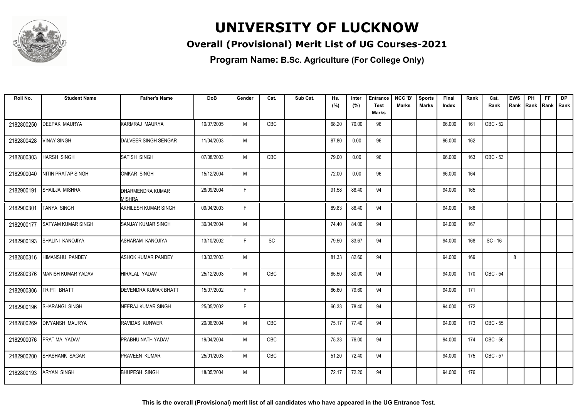

### **Overall (Provisional) Merit List of UG Courses-2021**

| Roll No.   | <b>Student Name</b>       | <b>Father's Name</b>        | <b>DoB</b> | Gender      | Cat.       | Sub Cat. | Hs.   | Inter | <b>Entrance</b> | NCC 'B'      | <b>Sports</b> | Final  | Rank | Cat.      | <b>EWS</b> | PH   | FF.         | <b>DP</b> |
|------------|---------------------------|-----------------------------|------------|-------------|------------|----------|-------|-------|-----------------|--------------|---------------|--------|------|-----------|------------|------|-------------|-----------|
|            |                           |                             |            |             |            |          | (%)   | (%)   | Test            | <b>Marks</b> | Marks         | Index  |      | Rank      | Rank       | Rank | Rank   Rank |           |
|            |                           |                             |            |             |            |          |       |       | Marks           |              |               |        |      |           |            |      |             |           |
| 2182800250 | <b>DEEPAK MAURYA</b>      | KARMRAJ MAURYA              | 10/07/2005 | M           | OBC        |          | 68.20 | 70.00 | 96              |              |               | 96.000 | 161  | OBC - 52  |            |      |             |           |
| 2182800428 | <b>VINAY SINGH</b>        | DALVEER SINGH SENGAR        | 11/04/2003 | M           |            |          | 87.80 | 0.00  | 96              |              |               | 96.000 | 162  |           |            |      |             |           |
| 2182800303 | <b>HARSH SINGH</b>        | SATISH SINGH                | 07/08/2003 | M           | OBC        |          | 79.00 | 0.00  | 96              |              |               | 96.000 | 163  | OBC - 53  |            |      |             |           |
| 2182900040 | NITIN PRATAP SINGH        | OMKAR SINGH                 | 15/12/2004 | M           |            |          | 72.00 | 0.00  | 96              |              |               | 96.000 | 164  |           |            |      |             |           |
| 2182900191 | SHAILJA MISHRA            | DHARMENDRA KUMAR<br>MISHRA  | 28/09/2004 | F           |            |          | 91.58 | 88.40 | 94              |              |               | 94.000 | 165  |           |            |      |             |           |
| 2182900301 | <b>TANYA SINGH</b>        | AKHILESH KUMAR SINGH        | 09/04/2003 | F           |            |          | 89.83 | 86.40 | 94              |              |               | 94.000 | 166  |           |            |      |             |           |
| 2182900177 | <b>SATYAM KUMAR SINGH</b> | <b>SANJAY KUMAR SINGH</b>   | 30/04/2004 | M           |            |          | 74.40 | 84.00 | 94              |              |               | 94.000 | 167  |           |            |      |             |           |
| 2182900193 | SHALINI KANOJIYA          | ASHARAM KANOJIYA            | 13/10/2002 | F           | SC         |          | 79.50 | 83.67 | 94              |              |               | 94.000 | 168  | $SC - 16$ |            |      |             |           |
| 2182800316 | <b>HIMANSHU PANDEY</b>    | ASHOK KUMAR PANDEY          | 13/03/2003 | М           |            |          | 81.33 | 82.60 | 94              |              |               | 94.000 | 169  |           | 8          |      |             |           |
| 2182800376 | <b>MANISH KUMAR YADAV</b> | HIRALAL YADAV               | 25/12/2003 | M           | <b>OBC</b> |          | 85.50 | 80.00 | 94              |              |               | 94.000 | 170  | OBC - 54  |            |      |             |           |
| 2182900306 | TRIPTI BHATT              | <b>DEVENDRA KUMAR BHATT</b> | 15/07/2002 | F           |            |          | 86.60 | 79.60 | 94              |              |               | 94.000 | 171  |           |            |      |             |           |
| 2182900196 | SHARANGI SINGH            | <b>NEERAJ KUMAR SINGH</b>   | 25/05/2002 | $\mathsf F$ |            |          | 66.33 | 78.40 | 94              |              |               | 94.000 | 172  |           |            |      |             |           |
| 2182800269 | <b>IDIVYANSH MAURYA</b>   | <b>RAVIDAS KUNWER</b>       | 20/06/2004 | M           | OBC        |          | 75.17 | 77.40 | 94              |              |               | 94.000 | 173  | OBC - 55  |            |      |             |           |
| 2182900076 | PRATIMA YADAV             | <b>PRABHU NATH YADAV</b>    | 19/04/2004 | M           | <b>OBC</b> |          | 75.33 | 76.00 | 94              |              |               | 94.000 | 174  | OBC - 56  |            |      |             |           |
| 2182900200 | SHASHANK SAGAR            | <b>PRAVEEN KUMAR</b>        | 25/01/2003 | M           | OBC        |          | 51.20 | 72.40 | 94              |              |               | 94.000 | 175  | OBC - 57  |            |      |             |           |
| 2182800193 | <b>ARYAN SINGH</b>        | <b>BHUPESH SINGH</b>        | 18/05/2004 | M           |            |          | 72.17 | 72.20 | 94              |              |               | 94.000 | 176  |           |            |      |             |           |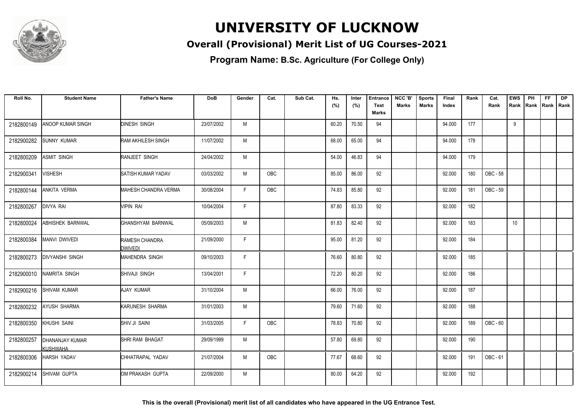

### **Overall (Provisional) Merit List of UG Courses-2021**

**Program Name: B.Sc. Agriculture (For College Only)**

| Roll No.   | <b>Student Name</b>                       | <b>Father's Name</b>             | <b>DoB</b> | Gender | Cat.       | Sub Cat. | Hs.<br>(%) | Inter<br>(%) | <b>Entrance</b><br><b>Test</b> | NCC 'B'<br><b>Marks</b> | <b>Sports</b><br>Marks | <b>Final</b><br>Index | Rank | Cat.<br>Rank | <b>EWS</b><br>Rank | PH | <b>FF</b><br>Rank   Rank   Rank | <b>DP</b> |
|------------|-------------------------------------------|----------------------------------|------------|--------|------------|----------|------------|--------------|--------------------------------|-------------------------|------------------------|-----------------------|------|--------------|--------------------|----|---------------------------------|-----------|
|            |                                           |                                  |            |        |            |          |            |              | <b>Marks</b>                   |                         |                        |                       |      |              |                    |    |                                 |           |
| 2182800149 | <b>ANOOP KUMAR SINGH</b>                  | <b>DINESH SINGH</b>              | 23/07/2002 | M      |            |          | 60.20      | 70.50        | 94                             |                         |                        | 94.000                | 177  |              | 9                  |    |                                 |           |
| 2182900282 | <b>SUNNY KUMAR</b>                        | RAM AKHILESH SINGH               | 11/07/2002 | M      |            |          | 68.00      | 65.00        | 94                             |                         |                        | 94.000                | 178  |              |                    |    |                                 |           |
| 2182800209 | <b>ASMIT SINGH</b>                        | RANJEET SINGH                    | 24/04/2002 | M      |            |          | 54.00      | 46.83        | 94                             |                         |                        | 94.000                | 179  |              |                    |    |                                 |           |
| 2182900341 | <b>VISHESH</b>                            | <b>SATISH KUMAR YADAV</b>        | 03/03/2002 | M      | <b>OBC</b> |          | 85.00      | 86.00        | 92                             |                         |                        | 92.000                | 180  | OBC - 58     |                    |    |                                 |           |
| 2182800144 | <b>ANKITA VERMA</b>                       | <b>MAHESH CHANDRA VERMA</b>      | 30/08/2004 | F      | <b>OBC</b> |          | 74.83      | 85.80        | 92                             |                         |                        | 92.000                | 181  | OBC - 59     |                    |    |                                 |           |
| 2182800267 | <b>DIVYA RAI</b>                          | <b>VIPIN RAI</b>                 | 10/04/2004 | F.     |            |          | 87.80      | 83.33        | 92                             |                         |                        | 92.000                | 182  |              |                    |    |                                 |           |
| 2182800024 | ABHISHEK BARNWAL                          | GHANSHYAM BARNWAL                | 05/09/2003 | М      |            |          | 81.83      | 82.40        | 92                             |                         |                        | 92.000                | 183  |              | 10                 |    |                                 |           |
| 2182800384 | <b>MANVI DWIVEDI</b>                      | RAMESH CHANDRA<br><b>DWIVEDI</b> | 21/09/2000 | F      |            |          | 95.00      | 81.20        | 92                             |                         |                        | 92.000                | 184  |              |                    |    |                                 |           |
| 2182800273 | <b>DIVYANSHI SINGH</b>                    | <b>MAHENDRA SINGH</b>            | 09/10/2003 | F.     |            |          | 76.60      | 80.80        | 92                             |                         |                        | 92.000                | 185  |              |                    |    |                                 |           |
| 2182900010 | NAMRITA SINGH                             | SHIVAJI SINGH                    | 13/04/2001 | F      |            |          | 72.20      | 80.20        | 92                             |                         |                        | 92.000                | 186  |              |                    |    |                                 |           |
| 2182900216 | <b>SHIVAM KUMAR</b>                       | AJAY KUMAR                       | 31/10/2004 | M      |            |          | 66.00      | 76.00        | 92                             |                         |                        | 92.000                | 187  |              |                    |    |                                 |           |
| 2182800232 | <b>AYUSH SHARMA</b>                       | KARUNESH SHARMA                  | 31/01/2003 | M      |            |          | 79.60      | 71.60        | 92                             |                         |                        | 92.000                | 188  |              |                    |    |                                 |           |
| 2182800350 | <b>KHUSHI SAINI</b>                       | <b>SHIV JI SAINI</b>             | 31/03/2005 | F      | <b>OBC</b> |          | 78.83      | 70.80        | 92                             |                         |                        | 92.000                | 189  | OBC - 60     |                    |    |                                 |           |
| 2182800257 | <b>DHANANJAY KUMAR</b><br><b>KUSHWAHA</b> | SHRI RAM BHAGAT                  | 29/09/1999 | M      |            |          | 57.80      | 69.80        | 92                             |                         |                        | 92.000                | 190  |              |                    |    |                                 |           |
| 2182800306 | <b>HARSH YADAV</b>                        | CHHATRAPAL YADAV                 | 21/07/2004 | M      | <b>OBC</b> |          | 77.67      | 68.60        | 92                             |                         |                        | 92.000                | 191  | OBC - 61     |                    |    |                                 |           |
| 2182900214 | SHIVAM GUPTA                              | OM PRAKASH GUPTA                 | 22/09/2000 | M      |            |          | 80.00      | 64.20        | 92                             |                         |                        | 92.000                | 192  |              |                    |    |                                 |           |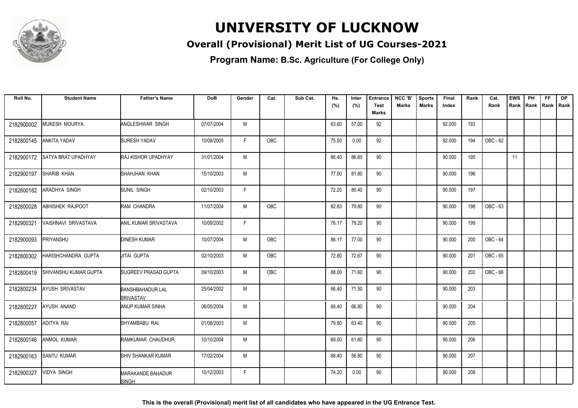

### **Overall (Provisional) Merit List of UG Courses-2021**

| Roll No.   | <b>Student Name</b>        | <b>Father's Name</b>                        | <b>DoB</b> | Gender | Cat.       | Sub Cat. | Hs.   | Inter | <b>Entrance</b> | NCC 'B'      | <b>Sports</b> | Final  | Rank | Cat.     | <b>EWS</b> | PH   | <b>FF</b> | <b>DP</b>   |
|------------|----------------------------|---------------------------------------------|------------|--------|------------|----------|-------|-------|-----------------|--------------|---------------|--------|------|----------|------------|------|-----------|-------------|
|            |                            |                                             |            |        |            |          | (%)   | (%)   | Test<br>Marks   | <b>Marks</b> | Marks         | Index  |      | Rank     | Rank       | Rank |           | Rank   Rank |
|            |                            |                                             |            |        |            |          |       |       |                 |              |               |        |      |          |            |      |           |             |
| 2182900002 | <b>MUKESH MOURYA</b>       | <b>ANGLESHWAR SINGH</b>                     | 07/07/2004 | M      |            |          | 63.60 | 57.00 | 92              |              |               | 92.000 | 193  |          |            |      |           |             |
| 2182800145 | <b>ANKITA YADAV</b>        | <b>SURESH YADAV</b>                         | 10/08/2005 | F.     | OBC        |          | 75.50 | 0.00  | 92              |              |               | 92.000 | 194  | OBC - 62 |            |      |           |             |
| 2182900172 | <b>SATYA BRAT UPADHYAY</b> | <b>RAJ KISHOR UPADHYAY</b>                  | 31/01/2004 | M      |            |          | 86.40 | 86.60 | 90              |              |               | 90.000 | 195  |          | 11         |      |           |             |
| 2182900197 | SHARIB KHAN                | SHAHJHAN KHAN                               | 15/10/2003 | M      |            |          | 77.00 | 81.80 | 90              |              |               | 90.000 | 196  |          |            |      |           |             |
| 2182800182 | ARADHYA SINGH              | SUNIL SINGH                                 | 02/10/2003 | F      |            |          | 72.20 | 80.40 | 90              |              |               | 90.000 | 197  |          |            |      |           |             |
| 2182800028 | ABHISHEK RAJPOOT           | RAM CHANDRA                                 | 11/07/2004 | M      | OBC        |          | 82.83 | 79.80 | 90              |              |               | 90.000 | 198  | OBC - 63 |            |      |           |             |
| 2182900321 | VAISHNAVI SRIVASTAVA       | ANIL KUMAR SRIVASTAVA                       | 10/09/2002 | F      |            |          | 76.17 | 79.20 | 90              |              |               | 90.000 | 199  |          |            |      |           |             |
| 2182900093 | PRIYANSHU                  | <b>DINESH KUMAR</b>                         | 10/07/2004 | M      | OBC        |          | 86.17 | 77.00 | 90              |              |               | 90.000 | 200  | OBC - 64 |            |      |           |             |
| 2182800302 | HARISHCHANDRA GUPTA        | <b>JITAI GUPTA</b>                          | 02/10/2003 | M      | OBC        |          | 72.80 | 72.67 | 90              |              |               | 90.000 | 201  | OBC - 65 |            |      |           |             |
| 2182800419 | SHIVANSHU KUMAR GUPTA      | SUGREEV PRASAD GUPTA                        | 09/10/2003 | M      | <b>OBC</b> |          | 88.00 | 71.60 | 90              |              |               | 90.000 | 202  | OBC - 66 |            |      |           |             |
| 2182800234 | <b>AYUSH SRIVASTAV</b>     | <b>BANSHBAHADUR LAL</b><br><b>SRIVASTAV</b> | 25/04/2002 | M      |            |          | 66.40 | 71.50 | 90              |              |               | 90.000 | 203  |          |            |      |           |             |
| 2182800227 | AYUSH ANAND                | ANUP KUMAR SINHA                            | 06/05/2004 | M      |            |          | 68.40 | 66.80 | 90              |              |               | 90.000 | 204  |          |            |      |           |             |
| 2182800057 | ADITYA RAI                 | SHYAMBABU RAI                               | 01/08/2003 | M      |            |          | 79.80 | 63.40 | 90              |              |               | 90.000 | 205  |          |            |      |           |             |
| 2182800146 | <b>ANMOL KUMAR</b>         | RAMKUMAR CHAUDHUR                           | 10/10/2004 | M      |            |          | 69.00 | 61.80 | 90              |              |               | 90.000 | 206  |          |            |      |           |             |
| 2182900163 | <b>SANTU KUMAR</b>         | <b>SHIV SHANKAR KUMAR</b>                   | 17/02/2004 | M      |            |          | 68.40 | 56.80 | 90              |              |               | 90.000 | 207  |          |            |      |           |             |
| 2182900327 | <b>VIDYA SINGH</b>         | <b>MARAKANDE BAHADUR</b><br><b>SINGH</b>    | 10/12/2003 | F.     |            |          | 74.20 | 0.00  | 90              |              |               | 90.000 | 208  |          |            |      |           |             |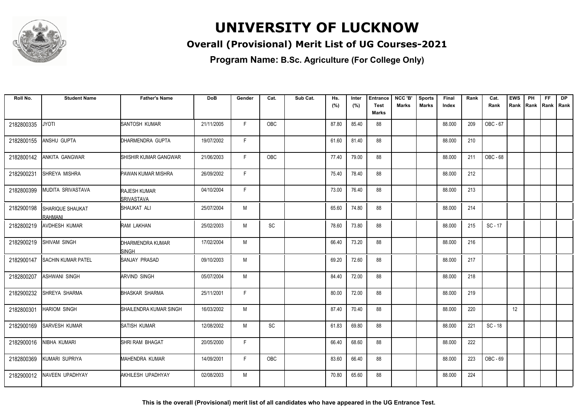

### **Overall (Provisional) Merit List of UG Courses-2021**

**Program Name: B.Sc. Agriculture (For College Only)**

| Roll No.   | <b>Student Name</b>                        | <b>Father's Name</b>              | <b>DoB</b> | Gender | Cat.       | Sub Cat. | Hs.   | Inter | <b>Entrance</b>      | NCC 'B'      | <b>Sports</b> | Final  | Rank | Cat.      | <b>EWS</b> | PH   | FF.         | <b>DP</b> |
|------------|--------------------------------------------|-----------------------------------|------------|--------|------------|----------|-------|-------|----------------------|--------------|---------------|--------|------|-----------|------------|------|-------------|-----------|
|            |                                            |                                   |            |        |            |          | (%)   | (%)   | <b>Test</b><br>Marks | <b>Marks</b> | <b>Marks</b>  | Index  |      | Rank      | Rank       | Rank | Rank   Rank |           |
| 2182800335 | <b>JYOTI</b>                               | <b>SANTOSH KUMAR</b>              | 21/11/2005 | F.     | <b>OBC</b> |          | 87.80 | 85.40 | 88                   |              |               | 88.000 | 209  | OBC - 67  |            |      |             |           |
| 2182800155 | ANSHU GUPTA                                | DHARMENDRA GUPTA                  | 19/07/2002 | F.     |            |          | 61.60 | 81.40 | 88                   |              |               | 88.000 | 210  |           |            |      |             |           |
| 2182800142 | <b>ANKITA GANGWAR</b>                      | SHISHIR KUMAR GANGWAR             | 21/06/2003 | F.     | OBC        |          | 77.40 | 79.00 | 88                   |              |               | 88.000 | 211  | OBC - 68  |            |      |             |           |
| 2182900231 | SHREYA MISHRA                              | PAWAN KUMAR MISHRA                | 26/09/2002 | F      |            |          | 75.40 | 78.40 | 88                   |              |               | 88.000 | 212  |           |            |      |             |           |
| 2182800399 | MUDITA SRIVASTAVA                          | <b>RAJESH KUMAR</b><br>SRIVASTAVA | 04/10/2004 | F      |            |          | 73.00 | 76.40 | 88                   |              |               | 88.000 | 213  |           |            |      |             |           |
| 2182900198 | <b>ISHARIQUE SHAUKAT</b><br><b>RAHMANI</b> | SHAUKAT ALI                       | 25/07/2004 | M      |            |          | 65.60 | 74.80 | 88                   |              |               | 88.000 | 214  |           |            |      |             |           |
| 2182800219 | <b>AVDHESH KUMAR</b>                       | <b>RAM LAKHAN</b>                 | 25/02/2003 | M      | <b>SC</b>  |          | 78.60 | 73.80 | 88                   |              |               | 88.000 | 215  | $SC - 17$ |            |      |             |           |
| 2182900219 | <b>SHIVAM SINGH</b>                        | DHARMENDRA KUMAR<br>SINGH         | 17/02/2004 | M      |            |          | 66.40 | 73.20 | 88                   |              |               | 88.000 | 216  |           |            |      |             |           |
| 2182900147 | <b>SACHIN KUMAR PATEL</b>                  | ISANJAY PRASAD                    | 09/10/2003 | M      |            |          | 69.20 | 72.60 | 88                   |              |               | 88.000 | 217  |           |            |      |             |           |
| 2182800207 | <b>ASHWANI SINGH</b>                       | <b>ARVIND SINGH</b>               | 05/07/2004 | M      |            |          | 84.40 | 72.00 | 88                   |              |               | 88.000 | 218  |           |            |      |             |           |
| 2182900232 | SHREYA SHARMA                              | <b>BHASKAR SHARMA</b>             | 25/11/2001 | F      |            |          | 80.00 | 72.00 | 88                   |              |               | 88.000 | 219  |           |            |      |             |           |
| 2182800301 | <b>HARIOM SINGH</b>                        | SHAILENDRA KUMAR SINGH            | 16/03/2002 | M      |            |          | 87.40 | 70.40 | 88                   |              |               | 88.000 | 220  |           | 12         |      |             |           |
| 2182900169 | <b>SARVESH KUMAR</b>                       | SATISH KUMAR                      | 12/08/2002 | M      | <b>SC</b>  |          | 61.83 | 69.80 | 88                   |              |               | 88.000 | 221  | $SC - 18$ |            |      |             |           |
| 2182900016 | NIBHA KUMARI                               | SHRI RAM BHAGAT                   | 20/05/2000 | F      |            |          | 66.40 | 68.60 | 88                   |              |               | 88.000 | 222  |           |            |      |             |           |
| 2182800369 | KUMARI SUPRIYA                             | MAHENDRA KUMAR                    | 14/09/2001 | F      | OBC        |          | 83.60 | 66.40 | 88                   |              |               | 88.000 | 223  | OBC - 69  |            |      |             |           |
| 2182900012 | NAVEEN UPADHYAY                            | AKHILESH UPADHYAY                 | 02/08/2003 | M      |            |          | 70.80 | 65.60 | 88                   |              |               | 88.000 | 224  |           |            |      |             |           |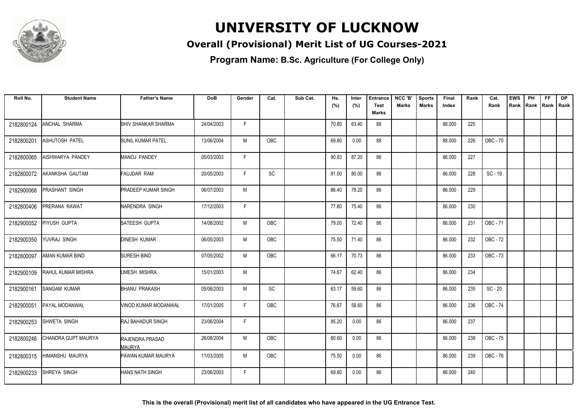

### **Overall (Provisional) Merit List of UG Courses-2021**

**Program Name: B.Sc. Agriculture (For College Only)**

| Roll No.   | <b>Student Name</b> | <b>Father's Name</b>                    | <b>DoB</b> | Gender       | Cat.       | Sub Cat. | Hs.   | Inter | <b>Entrance</b>      | NCC 'B'      | <b>Sports</b> | Final  | Rank | Cat.            | <b>EWS</b> | PH   | FF.         | <b>DP</b> |
|------------|---------------------|-----------------------------------------|------------|--------------|------------|----------|-------|-------|----------------------|--------------|---------------|--------|------|-----------------|------------|------|-------------|-----------|
|            |                     |                                         |            |              |            |          | (%)   | (%)   | <b>Test</b><br>Marks | <b>Marks</b> | Marks         | Index  |      | Rank            | Rank       | Rank | Rank   Rank |           |
|            |                     |                                         |            |              |            |          |       |       |                      |              |               |        |      |                 |            |      |             |           |
| 2182800124 | ANCHAL SHARMA       | SHIV SHANKAR SHARMA                     | 24/04/2003 | F            |            |          | 70.80 | 63.40 | 88                   |              |               | 88.000 | 225  |                 |            |      |             |           |
| 2182800201 | ASHUTOSH PATEL      | <b>SUNIL KUMAR PATEL</b>                | 13/06/2004 | M            | OBC        |          | 69.80 | 0.00  | 88                   |              |               | 88.000 | 226  | <b>OBC - 70</b> |            |      |             |           |
| 2182800065 | AISHWARYA PANDEY    | <b>MANOJ PANDEY</b>                     | 05/03/2003 | F            |            |          | 90.83 | 87.20 | 86                   |              |               | 86.000 | 227  |                 |            |      |             |           |
| 2182800072 | AKANKSHA GAUTAM     | <b>FAUJDAR RAM</b>                      | 20/05/2003 | $\mathsf{F}$ | <b>SC</b>  |          | 81.00 | 80.00 | 86                   |              |               | 86.000 | 228  | SC-19           |            |      |             |           |
| 2182900068 | PRASHANT SINGH      | <b>PRADEEP KUMAR SINGH</b>              | 06/07/2003 | M            |            |          | 86.40 | 78.20 | 86                   |              |               | 86.000 | 229  |                 |            |      |             |           |
| 2182800406 | PRERANA RAWAT       | NARENDRA SINGH                          | 17/12/2003 | F            |            |          | 77.80 | 75.40 | 86                   |              |               | 86.000 | 230  |                 |            |      |             |           |
| 2182900052 | PIYUSH GUPTA        | SATEESH GUPTA                           | 14/08/2002 | M            | <b>OBC</b> |          | 79.00 | 72.40 | 86                   |              |               | 86.000 | 231  | OBC - 71        |            |      |             |           |
| 2182900350 | YUVRAJ SINGH        | <b>DINESH KUMAR</b>                     | 06/05/2003 | M            | OBC        |          | 75.50 | 71.40 | 86                   |              |               | 86.000 | 232  | OBC - 72        |            |      |             |           |
| 2182800097 | AMAN KUMAR BIND     | <b>SURESH BIND</b>                      | 07/05/2002 | M            | <b>OBC</b> |          | 66.17 | 70.73 | 86                   |              |               | 86.000 | 233  | OBC - 73        |            |      |             |           |
| 2182900109 | RAHUL KUMAR MISHRA  | UMESH MISHRA                            | 15/01/2003 | M            |            |          | 74.67 | 62.40 | 86                   |              |               | 86.000 | 234  |                 |            |      |             |           |
| 2182900161 | <b>SANGAM KUMAR</b> | <b>BHANU PRAKASH</b>                    | 05/06/2003 | M            | SC         |          | 63.17 | 59.60 | 86                   |              |               | 86.000 | 235  | $SC - 20$       |            |      |             |           |
| 2182900051 | PAYAL MODANWAL      | VINOD KUMAR MODANWAL                    | 17/01/2005 | E            | OBC        |          | 76.67 | 58.60 | 86                   |              |               | 86.000 | 236  | OBC - 74        |            |      |             |           |
| 2182900253 | SHWETA SINGH        | <b>RAJ BAHADUR SINGH</b>                | 23/06/2004 | F            |            |          | 85.20 | 0.00  | 86                   |              |               | 86.000 | 237  |                 |            |      |             |           |
| 2182800246 | CHANDRA GUPT MAURYA | <b>RAJENDRA PRASAD</b><br><b>MAURYA</b> | 26/08/2004 | M            | <b>OBC</b> |          | 80.60 | 0.00  | 86                   |              |               | 86.000 | 238  | OBC - 75        |            |      |             |           |
| 2182800315 | HIMANSHU MAURYA     | PAWAN KUMAR MAURYA                      | 11/03/2005 | M            | <b>OBC</b> |          | 75.50 | 0.00  | 86                   |              |               | 86.000 | 239  | OBC - 76        |            |      |             |           |
| 2182900233 | SHREYA SINGH        | HANS NATH SINGH                         | 23/06/2003 | F.           |            |          | 69.80 | 0.00  | 86                   |              |               | 86.000 | 240  |                 |            |      |             |           |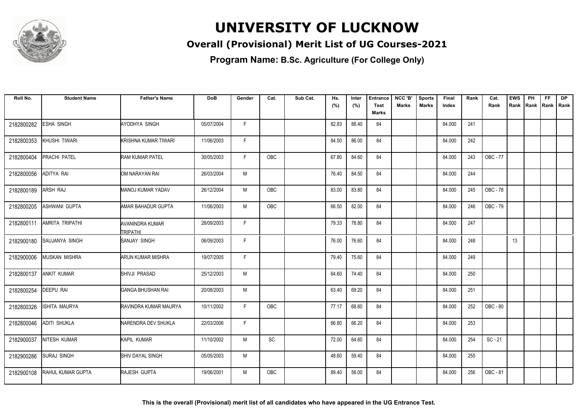

### **Overall (Provisional) Merit List of UG Courses-2021**

**Program Name: B.Sc. Agriculture (For College Only)**

| Roll No.   | <b>Student Name</b>    | <b>Father's Name</b>                      | <b>DoB</b> | Gender | Cat.       | Sub Cat. | Hs.<br>(%) | Inter<br>(%) | <b>Entrance</b><br>Test | NCC 'B'<br>Marks | <b>Sports</b><br><b>Marks</b> | Final<br>Index | Rank | Cat.<br>Rank | <b>EWS</b><br>Rank | PH<br>Rank | <b>FF</b><br>Rank   Rank | <b>DP</b> |
|------------|------------------------|-------------------------------------------|------------|--------|------------|----------|------------|--------------|-------------------------|------------------|-------------------------------|----------------|------|--------------|--------------------|------------|--------------------------|-----------|
|            |                        |                                           |            |        |            |          |            |              | Marks                   |                  |                               |                |      |              |                    |            |                          |           |
| 2182800282 | ESHA SINGH             | AYODHYA SINGH                             | 05/07/2004 | F.     |            |          | 82.83      | 88.40        | 84                      |                  |                               | 84.000         | 241  |              |                    |            |                          |           |
| 2182800353 | KHUSHI TIWARI          | KRISHNA KUMAR TIWARI                      | 11/06/2003 | F.     |            |          | 84.50      | 86.00        | 84                      |                  |                               | 84.000         | 242  |              |                    |            |                          |           |
| 2182800404 | <b>PRACHI PATEL</b>    | <b>RAM KUMAR PATEL</b>                    | 30/05/2003 | F.     | <b>OBC</b> |          | 67.80      | 84.60        | 84                      |                  |                               | 84.000         | 243  | OBC - 77     |                    |            |                          |           |
| 2182800056 | ADITYA RAI             | OM NARAYAN RAI                            | 26/03/2004 | M      |            |          | 76.40      | 84.50        | 84                      |                  |                               | 84.000         | 244  |              |                    |            |                          |           |
| 2182800189 | ARSH RAJ               | <b>MANOJ KUMAR YADAV</b>                  | 26/12/2004 | M      | <b>OBC</b> |          | 83.00      | 83.80        | 84                      |                  |                               | 84.000         | 245  | OBC - 78     |                    |            |                          |           |
| 2182800205 | ASHWANI GUPTA          | AMAR BAHADUR GUPTA                        | 11/06/2003 | M      | OBC        |          | 66.50      | 82.00        | 84                      |                  |                               | 84.000         | 246  | OBC - 79     |                    |            |                          |           |
| 2182800111 | <b>AMRITA TRIPATHI</b> | <b>AVANINDRA KUMAR</b><br><b>TRIPATHI</b> | 28/09/2003 | F.     |            |          | 79.33      | 78.80        | 84                      |                  |                               | 84.000         | 247  |              |                    |            |                          |           |
| 2182900180 | SAUJANYA SINGH         | SANJAY SINGH                              | 06/09/2003 | F      |            |          | 76.00      | 76.60        | 84                      |                  |                               | 84.000         | 248  |              | 13                 |            |                          |           |
| 2182900006 | <b>MUSKAN MISHRA</b>   | ARUN KUMAR MISHRA                         | 19/07/2005 | F.     |            |          | 79.40      | 75.60        | 84                      |                  |                               | 84.000         | 249  |              |                    |            |                          |           |
| 2182800137 | ANKIT KUMAR            | SHIVJI PRASAD                             | 25/12/2003 | M      |            |          | 64.60      | 74.40        | 84                      |                  |                               | 84.000         | 250  |              |                    |            |                          |           |
| 2182800254 | DEEPU RAI              | <b>GANGA BHUSHAN RAI</b>                  | 20/08/2003 | M      |            |          | 63.40      | 69.20        | 84                      |                  |                               | 84.000         | 251  |              |                    |            |                          |           |
| 2182800326 | ISHITA MAURYA          | RAVINDRA KUMAR MAURYA                     | 10/11/2002 | F      | OBC        |          | 77.17      | 68.60        | 84                      |                  |                               | 84.000         | 252  | OBC - 80     |                    |            |                          |           |
| 2182800046 | <b>ADITI SHUKLA</b>    | NARENDRA DEV SHUKLA                       | 22/03/2006 | F.     |            |          | 66.80      | 66.20        | 84                      |                  |                               | 84.000         | 253  |              |                    |            |                          |           |
| 2182900037 | NITESH KUMAR           | KAPIL KUMAR                               | 11/10/2002 | M      | SC         |          | 72.00      | 64.60        | 84                      |                  |                               | 84.000         | 254  | $SC - 21$    |                    |            |                          |           |
| 2182900286 | <b>SURAJ SINGH</b>     | SHIV DAYAL SINGH                          | 05/05/2003 | M      |            |          | 48.60      | 59.40        | 84                      |                  |                               | 84.000         | 255  |              |                    |            |                          |           |
| 2182900108 | RAHUL KUMAR GUPTA      | RAJESH GUPTA                              | 19/06/2001 | M      | OBC        |          | 89.40      | 56.00        | 84                      |                  |                               | 84.000         | 256  | OBC - 81     |                    |            |                          |           |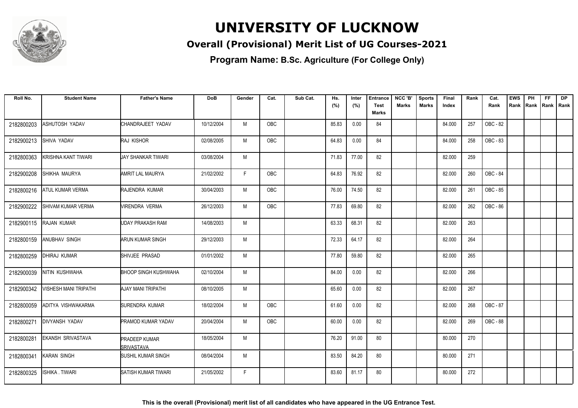

### **Overall (Provisional) Merit List of UG Courses-2021**

**Program Name: B.Sc. Agriculture (For College Only)**

| Roll No.   | <b>Student Name</b>          | <b>Father's Name</b>                      | <b>DoB</b> | Gender | Cat.       | Sub Cat. | Hs.   | Inter | <b>Entrance</b>             | NCC 'B' | <b>Sports</b> | Final  | Rank | Cat.     | <b>EWS</b> | PH | <b>FF</b>          | <b>DP</b> |
|------------|------------------------------|-------------------------------------------|------------|--------|------------|----------|-------|-------|-----------------------------|---------|---------------|--------|------|----------|------------|----|--------------------|-----------|
|            |                              |                                           |            |        |            |          | (%)   | (%)   | <b>Test</b><br><b>Marks</b> | Marks   | Marks         | Index  |      | Rank     | Rank       |    | Rank   Rank   Rank |           |
| 2182800203 | ASHUTOSH YADAV               | CHANDRAJEET YADAV                         | 10/12/2004 | M      | OBC        |          | 85.83 | 0.00  | 84                          |         |               | 84.000 | 257  | OBC - 82 |            |    |                    |           |
|            |                              |                                           |            |        |            |          |       |       |                             |         |               |        |      |          |            |    |                    |           |
| 2182900213 | SHIVA YADAV                  | RAJ KISHOR                                | 02/08/2005 | M      | OBC        |          | 64.83 | 0.00  | 84                          |         |               | 84.000 | 258  | OBC - 83 |            |    |                    |           |
| 2182800363 | KRISHNA KANT TIWARI          | UAY SHANKAR TIWARI                        | 03/08/2004 | M      |            |          | 71.83 | 77.00 | 82                          |         |               | 82.000 | 259  |          |            |    |                    |           |
| 2182900208 | SHIKHA MAURYA                | AMRIT LAL MAURYA                          | 21/02/2002 | F      | OBC        |          | 64.83 | 76.92 | 82                          |         |               | 82.000 | 260  | OBC - 84 |            |    |                    |           |
| 2182800216 | <b>ATUL KUMAR VERMA</b>      | RAJENDRA KUMAR                            | 30/04/2003 | M      | OBC        |          | 76.00 | 74.50 | 82                          |         |               | 82.000 | 261  | OBC - 85 |            |    |                    |           |
| 2182900222 | SHIVAM KUMAR VERMA           | VIRENDRA VERMA                            | 26/12/2003 | M      | OBC        |          | 77.83 | 69.80 | 82                          |         |               | 82.000 | 262  | OBC - 86 |            |    |                    |           |
| 2182900115 | <b>RAJAN KUMAR</b>           | UDAY PRAKASH RAM                          | 14/08/2003 | M      |            |          | 63.33 | 68.31 | 82                          |         |               | 82.000 | 263  |          |            |    |                    |           |
| 2182800159 | <b>ANUBHAV SINGH</b>         | <b>ARUN KUMAR SINGH</b>                   | 29/12/2003 | M      |            |          | 72.33 | 64.17 | 82                          |         |               | 82.000 | 264  |          |            |    |                    |           |
| 2182800259 | <b>DHIRAJ KUMAR</b>          | SHIVJEE PRASAD                            | 01/01/2002 | M      |            |          | 77.80 | 59.80 | 82                          |         |               | 82.000 | 265  |          |            |    |                    |           |
| 2182900039 | NITIN KUSHWAHA               | <b>BHOOP SINGH KUSHWAHA</b>               | 02/10/2004 | М      |            |          | 84.00 | 0.00  | 82                          |         |               | 82.000 | 266  |          |            |    |                    |           |
| 2182900342 | <b>VISHESH MANI TRIPATHI</b> | AJAY MANI TRIPATHI                        | 08/10/2005 | M      |            |          | 65.60 | 0.00  | 82                          |         |               | 82.000 | 267  |          |            |    |                    |           |
| 2182800059 | ADITYA VISHWAKARMA           | SURENDRA KUMAR                            | 18/02/2004 | M      | <b>OBC</b> |          | 61.60 | 0.00  | 82                          |         |               | 82.000 | 268  | OBC - 87 |            |    |                    |           |
| 2182800271 | <b>DIVYANSH YADAV</b>        | <b>PRAMOD KUMAR YADAV</b>                 | 20/04/2004 | M      | OBC        |          | 60.00 | 0.00  | 82                          |         |               | 82.000 | 269  | OBC - 88 |            |    |                    |           |
| 2182800281 | EKANSH SRIVASTAVA            | <b>PRADEEP KUMAR</b><br><b>SRIVASTAVA</b> | 18/05/2004 | M      |            |          | 76.20 | 91.00 | 80                          |         |               | 80.000 | 270  |          |            |    |                    |           |
| 2182800341 | KARAN SINGH                  | <b>SUSHIL KUMAR SINGH</b>                 | 08/04/2004 | M      |            |          | 83.50 | 84.20 | 80                          |         |               | 80.000 | 271  |          |            |    |                    |           |
| 2182800325 | ISHIKA . TIWARI              | SATISH KUMAR TIWARI                       | 21/05/2002 | F.     |            |          | 83.60 | 81.17 | 80                          |         |               | 80.000 | 272  |          |            |    |                    |           |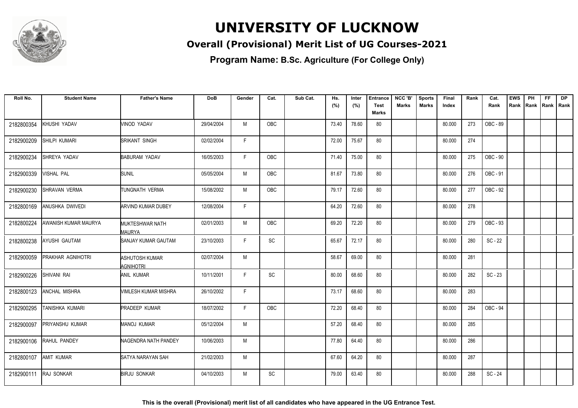

### **Overall (Provisional) Merit List of UG Courses-2021**

**Program Name: B.Sc. Agriculture (For College Only)**

| Roll No.   | <b>Student Name</b>    | <b>Father's Name</b>                    | <b>DoB</b> | Gender | Cat.       | Sub Cat. | Hs.   | Inter | <b>Entrance</b>             | NCC 'B'      | <b>Sports</b> | <b>Final</b> | Rank | Cat.      | <b>EWS</b> | PH | <b>FF</b>          | <b>DP</b> |
|------------|------------------------|-----------------------------------------|------------|--------|------------|----------|-------|-------|-----------------------------|--------------|---------------|--------------|------|-----------|------------|----|--------------------|-----------|
|            |                        |                                         |            |        |            |          | (%)   | (%)   | <b>Test</b><br><b>Marks</b> | <b>Marks</b> | Marks         | Index        |      | Rank      | Rank       |    | Rank   Rank   Rank |           |
| 2182800354 | KHUSHI YADAV           | VINOD YADAV                             | 29/04/2004 | M      | OBC        |          | 73.40 | 78.60 | 80                          |              |               | 80.000       | 273  | OBC - 89  |            |    |                    |           |
|            |                        |                                         |            |        |            |          |       |       |                             |              |               |              |      |           |            |    |                    |           |
| 2182900209 | SHILPI KUMARI          | SRIKANT SINGH                           | 02/02/2004 | F.     |            |          | 72.00 | 75.67 | 80                          |              |               | 80.000       | 274  |           |            |    |                    |           |
| 2182900234 | SHREYA YADAV           | <b>BABURAM YADAV</b>                    | 16/05/2003 | F.     | OBC        |          | 71.40 | 75.00 | 80                          |              |               | 80.000       | 275  | OBC - 90  |            |    |                    |           |
| 2182900339 | VISHAL PAL             | <b>SUNIL</b>                            | 05/05/2004 | M      | OBC        |          | 81.67 | 73.80 | 80                          |              |               | 80.000       | 276  | OBC - 91  |            |    |                    |           |
| 2182900230 | SHRAVAN VERMA          | TUNGNATH VERMA                          | 15/08/2002 | M      | OBC        |          | 79.17 | 72.60 | 80                          |              |               | 80.000       | 277  | OBC - 92  |            |    |                    |           |
| 2182800169 | ANUSHKA DWIVEDI        | <b>ARVIND KUMAR DUBEY</b>               | 12/08/2004 | F      |            |          | 64.20 | 72.60 | 80                          |              |               | 80.000       | 278  |           |            |    |                    |           |
| 2182800224 | AWANISH KUMAR MAURYA   | <b>MUKTESHWAR NATH</b><br><b>MAURYA</b> | 02/01/2003 | M      | <b>OBC</b> |          | 69.20 | 72.20 | 80                          |              |               | 80.000       | 279  | OBC - 93  |            |    |                    |           |
| 2182800238 | AYUSHI GAUTAM          | SANJAY KUMAR GAUTAM                     | 23/10/2003 | F      | SC         |          | 65.67 | 72.17 | 80                          |              |               | 80.000       | 280  | $SC - 22$ |            |    |                    |           |
| 2182900059 | PRAKHAR AGNIHOTRI      | ASHUTOSH KUMAR<br>Agnihotri             | 02/07/2004 | M      |            |          | 58.67 | 69.00 | 80                          |              |               | 80.000       | 281  |           |            |    |                    |           |
| 2182900226 | SHIVANI RAI            | <b>ANIL KUMAR</b>                       | 10/11/2001 | F      | SC         |          | 80.00 | 68.60 | 80                          |              |               | 80.000       | 282  | $SC - 23$ |            |    |                    |           |
| 2182800123 | ANCHAL MISHRA          | VIMLESH KUMAR MISHRA                    | 26/10/2002 | F.     |            |          | 73.17 | 68.60 | 80                          |              |               | 80.000       | 283  |           |            |    |                    |           |
| 2182900295 | TANISHKA KUMARI        | <b>PRADEEP KUMAR</b>                    | 18/07/2002 | F.     | <b>OBC</b> |          | 72.20 | 68.40 | 80                          |              |               | 80.000       | 284  | OBC - 94  |            |    |                    |           |
| 2182900097 | <b>PRIYANSHU KUMAR</b> | MANOJ KUMAR                             | 05/12/2004 | M      |            |          | 57.20 | 68.40 | 80                          |              |               | 80.000       | 285  |           |            |    |                    |           |
| 2182900106 | RAHUL PANDEY           | NAGENDRA NATH PANDEY                    | 10/06/2003 | M      |            |          | 77.80 | 64.40 | 80                          |              |               | 80.000       | 286  |           |            |    |                    |           |
| 2182800107 | <b>AMIT KUMAR</b>      | SATYA NARAYAN SAH                       | 21/02/2003 | M      |            |          | 67.60 | 64.20 | 80                          |              |               | 80.000       | 287  |           |            |    |                    |           |
| 2182900111 | <b>RAJ SONKAR</b>      | BIRJU SONKAR                            | 04/10/2003 | M      | <b>SC</b>  |          | 79.00 | 63.40 | 80                          |              |               | 80.000       | 288  | $SC - 24$ |            |    |                    |           |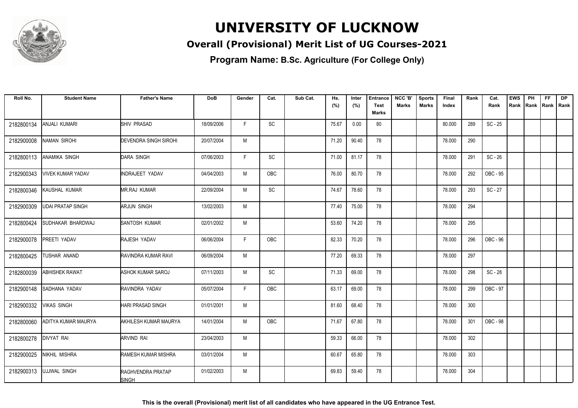

### **Overall (Provisional) Merit List of UG Courses-2021**

| Roll No.   | <b>Student Name</b>      | <b>Father's Name</b>              | <b>DoB</b> | Gender | Cat.       | Sub Cat. | Hs.   | Inter | <b>Entrance</b> | NCC 'B'      | <b>Sports</b> | Final  | Rank | Cat.      | <b>EWS</b> | PH   | FF.         | <b>DP</b> |
|------------|--------------------------|-----------------------------------|------------|--------|------------|----------|-------|-------|-----------------|--------------|---------------|--------|------|-----------|------------|------|-------------|-----------|
|            |                          |                                   |            |        |            |          | (%)   | (%)   | <b>Test</b>     | <b>Marks</b> | Marks         | Index  |      | Rank      | Rank       | Rank | Rank   Rank |           |
|            |                          |                                   |            |        |            |          |       |       | Marks           |              |               |        |      |           |            |      |             |           |
| 2182800134 | ANJALI KUMARI            | <b>SHIV PRASAD</b>                | 18/09/2006 | F      | SC         |          | 75.67 | 0.00  | 80              |              |               | 80.000 | 289  | $SC - 25$ |            |      |             |           |
| 2182900008 | <b>NAMAN SIROHI</b>      | <b>DEVENDRA SINGH SIROHI</b>      | 20/07/2004 | M      |            |          | 71.20 | 90.40 | 78              |              |               | 78.000 | 290  |           |            |      |             |           |
| 2182800113 | ANAMIKA SINGH            | <b>DARA SINGH</b>                 | 07/06/2003 | F.     | SC         |          | 71.00 | 81.17 | 78              |              |               | 78.000 | 291  | $SC - 26$ |            |      |             |           |
| 2182900343 | <b>VIVEK KUMAR YADAV</b> | INDRAJEET YADAV                   | 04/04/2003 | M      | OBC        |          | 76.00 | 80.70 | 78              |              |               | 78.000 | 292  | OBC - 95  |            |      |             |           |
| 2182800346 | KAUSHAL KUMAR            | <b>MR.RAJ KUMAR</b>               | 22/09/2004 | M      | SC         |          | 74.67 | 78.60 | 78              |              |               | 78.000 | 293  | $SC - 27$ |            |      |             |           |
| 2182900309 | <b>UDAI PRATAP SINGH</b> | <b>ARJUN SINGH</b>                | 13/02/2003 | M      |            |          | 77.40 | 75.00 | 78              |              |               | 78.000 | 294  |           |            |      |             |           |
| 2182800424 | SUDHAKAR BHARDWAJ        | SANTOSH KUMAR                     | 02/01/2002 | M      |            |          | 53.60 | 74.20 | 78              |              |               | 78.000 | 295  |           |            |      |             |           |
| 2182900078 | PREETI YADAV             | RAJESH YADAV                      | 06/06/2004 | F      | OBC        |          | 82.33 | 70.20 | 78              |              |               | 78.000 | 296  | OBC - 96  |            |      |             |           |
| 2182800425 | TUSHAR ANAND             | RAVINDRA KUMAR RAVI               | 06/09/2004 | M      |            |          | 77.20 | 69.33 | 78              |              |               | 78.000 | 297  |           |            |      |             |           |
| 2182800039 | ABHISHEK RAWAT           | <b>ASHOK KUMAR SAROJ</b>          | 07/11/2003 | M      | SC         |          | 71.33 | 69.00 | 78              |              |               | 78.000 | 298  | SC-28     |            |      |             |           |
| 2182900148 | SADHANA YADAV            | RAVINDRA YADAV                    | 05/07/2004 | F.     | <b>OBC</b> |          | 63.17 | 69.00 | 78              |              |               | 78.000 | 299  | OBC - 97  |            |      |             |           |
| 2182900332 | <b>VIKAS SINGH</b>       | <b>HARI PRASAD SINGH</b>          | 01/01/2001 | M      |            |          | 81.60 | 68.40 | 78              |              |               | 78.000 | 300  |           |            |      |             |           |
| 2182800060 | ADITYA KUMAR MAURYA      | <b>AKHILESH KUMAR MAURYA</b>      | 14/01/2004 | M      | OBC        |          | 71.67 | 67.80 | 78              |              |               | 78.000 | 301  | OBC - 98  |            |      |             |           |
| 2182800278 | <b>DIVYAT RAI</b>        | <b>ARVIND RAI</b>                 | 23/04/2003 | M      |            |          | 59.33 | 66.00 | 78              |              |               | 78.000 | 302  |           |            |      |             |           |
| 2182900025 | NIKHIL MISHRA            | <b>RAMESH KUMAR MISHRA</b>        | 03/01/2004 | M      |            |          | 60.67 | 65.80 | 78              |              |               | 78.000 | 303  |           |            |      |             |           |
| 2182900313 | <b>UJJWAL SINGH</b>      | RAGHVENDRA PRATAP<br><b>SINGH</b> | 01/02/2003 | M      |            |          | 69.83 | 59.40 | 78              |              |               | 78.000 | 304  |           |            |      |             |           |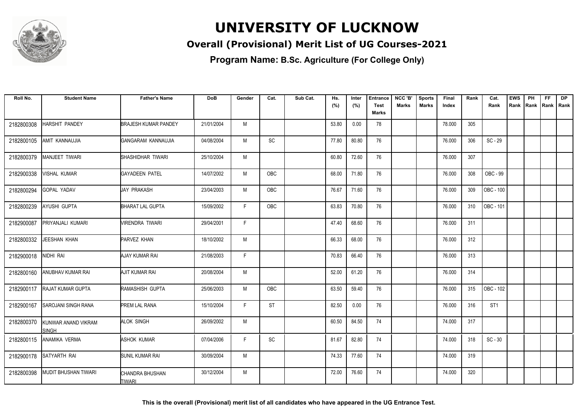

### **Overall (Provisional) Merit List of UG Courses-2021**

**Program Name: B.Sc. Agriculture (For College Only)**

| Roll No.   | <b>Student Name</b>                 | <b>Father's Name</b>             | <b>DoB</b> | Gender | Cat.       | Sub Cat. | Hs.   | Inter | <b>Entrance</b> | NCC 'B'      | <b>Sports</b> | Final  | Rank | Cat.            | <b>EWS</b> | PH   | FF. | <b>DP</b>   |
|------------|-------------------------------------|----------------------------------|------------|--------|------------|----------|-------|-------|-----------------|--------------|---------------|--------|------|-----------------|------------|------|-----|-------------|
|            |                                     |                                  |            |        |            |          | (%)   | (%)   | <b>Test</b>     | <b>Marks</b> | Marks         | Index  |      | Rank            | Rank       | Rank |     | Rank   Rank |
|            |                                     |                                  |            |        |            |          |       |       | <b>Marks</b>    |              |               |        |      |                 |            |      |     |             |
| 2182800308 | HARSHIT PANDEY                      | <b>BRAJESH KUMAR PANDEY</b>      | 21/01/2004 | M      |            |          | 53.80 | 0.00  | 78              |              |               | 78.000 | 305  |                 |            |      |     |             |
| 2182800105 | AMIT KANNAUJIA                      | GANGARAM KANNAUJIA               | 04/08/2004 | M      | <b>SC</b>  |          | 77.80 | 80.80 | 76              |              |               | 76.000 | 306  | $SC - 29$       |            |      |     |             |
| 2182800379 | <b>MANJEET TIWARI</b>               | SHASHIDHAR TIWARI                | 25/10/2004 | M      |            |          | 60.80 | 72.60 | 76              |              |               | 76.000 | 307  |                 |            |      |     |             |
| 2182900338 | VISHAL KUMAR                        | GAYADEEN PATEL                   | 14/07/2002 | M      | OBC        |          | 68.00 | 71.80 | 76              |              |               | 76.000 | 308  | OBC - 99        |            |      |     |             |
| 2182800294 | GOPAL YADAV                         | <b>JAY PRAKASH</b>               | 23/04/2003 | M      | OBC        |          | 76.67 | 71.60 | 76              |              |               | 76.000 | 309  | OBC - 100       |            |      |     |             |
| 2182800239 | AYUSHI GUPTA                        | <b>BHARAT LAL GUPTA</b>          | 15/09/2002 | F      | <b>OBC</b> |          | 63.83 | 70.80 | 76              |              |               | 76.000 | 310  | OBC - 101       |            |      |     |             |
| 2182900087 | PRIYANJALI KUMARI                   | VIRENDRA TIWARI                  | 29/04/2001 | F      |            |          | 47.40 | 68.60 | 76              |              |               | 76.000 | 311  |                 |            |      |     |             |
| 2182800332 | <b>JEESHAN KHAN</b>                 | PARVEZ KHAN                      | 18/10/2002 | M      |            |          | 66.33 | 68.00 | 76              |              |               | 76.000 | 312  |                 |            |      |     |             |
| 2182900018 | NIDHI RAI                           | AJAY KUMAR RAI                   | 21/08/2003 | F      |            |          | 70.83 | 66.40 | 76              |              |               | 76.000 | 313  |                 |            |      |     |             |
| 2182800160 | ANUBHAV KUMAR RAI                   | AJIT KUMAR RAI                   | 20/08/2004 | M      |            |          | 52.00 | 61.20 | 76              |              |               | 76.000 | 314  |                 |            |      |     |             |
| 2182900117 | <b>RAJAT KUMAR GUPTA</b>            | <b>RAMASHISH GUPTA</b>           | 25/06/2003 | M      | <b>OBC</b> |          | 63.50 | 59.40 | 76              |              |               | 76.000 | 315  | OBC - 102       |            |      |     |             |
| 2182900167 | <b>SAROJANI SINGH RANA</b>          | <b>PREM LAL RANA</b>             | 15/10/2004 | F      | <b>ST</b>  |          | 82.50 | 0.00  | 76              |              |               | 76.000 | 316  | ST <sub>1</sub> |            |      |     |             |
| 2182800370 | KUNWAR ANAND VIKRAM<br><b>SINGH</b> | <b>ALOK SINGH</b>                | 26/09/2002 | M      |            |          | 60.50 | 84.50 | 74              |              |               | 74.000 | 317  |                 |            |      |     |             |
| 2182800115 | ANAMIKA VERMA                       | <b>ASHOK KUMAR</b>               | 07/04/2006 | E      | <b>SC</b>  |          | 81.67 | 82.80 | 74              |              |               | 74.000 | 318  | $SC - 30$       |            |      |     |             |
| 2182900178 | SATYARTH RAI                        | SUNIL KUMAR RAI                  | 30/09/2004 | M      |            |          | 74.33 | 77.60 | 74              |              |               | 74.000 | 319  |                 |            |      |     |             |
| 2182800398 | MUDIT BHUSHAN TIWARI                | CHANDRA BHUSHAN<br><b>TIWARI</b> | 30/12/2004 | M      |            |          | 72.00 | 76.60 | 74              |              |               | 74.000 | 320  |                 |            |      |     |             |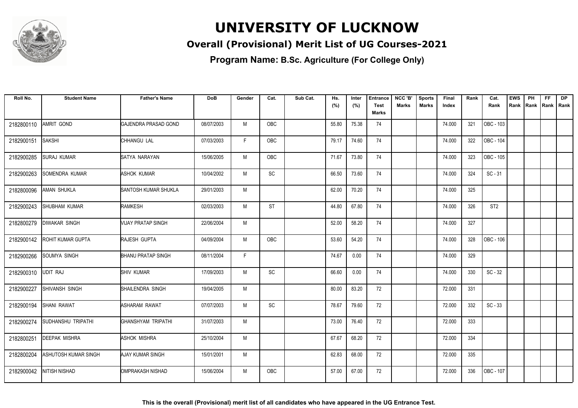

### **Overall (Provisional) Merit List of UG Courses-2021**

| Roll No.   | <b>Student Name</b>  | <b>Father's Name</b>             | <b>DoB</b> | Gender | Cat.       | Sub Cat. | Hs.   | Inter | <b>Entrance</b> | NCC 'B' | <b>Sports</b> | Final  | Rank | Cat.            | <b>EWS</b> | PH   | FF.         | <b>DP</b> |
|------------|----------------------|----------------------------------|------------|--------|------------|----------|-------|-------|-----------------|---------|---------------|--------|------|-----------------|------------|------|-------------|-----------|
|            |                      |                                  |            |        |            |          | (%)   | (%)   | <b>Test</b>     | Marks   | Marks         | Index  |      | Rank            | Rank       | Rank | Rank   Rank |           |
|            |                      |                                  |            |        |            |          |       |       | Marks           |         |               |        |      |                 |            |      |             |           |
| 2182800110 | AMRIT GOND           | <b>GAJENDRA PRASAD GOND</b>      | 08/07/2003 | M      | <b>OBC</b> |          | 55.80 | 75.38 | 74              |         |               | 74.000 | 321  | OBC - 103       |            |      |             |           |
| 2182900151 | <b>SAKSHI</b>        | CHHANGU LAL                      | 07/03/2003 | F.     | OBC        |          | 79.17 | 74.60 | 74              |         |               | 74.000 | 322  | OBC - 104       |            |      |             |           |
| 2182900285 | <b>SURAJ KUMAR</b>   | SATYA NARAYAN                    | 15/06/2005 | M      | OBC        |          | 71.67 | 73.80 | 74              |         |               | 74.000 | 323  | OBC - 105       |            |      |             |           |
| 2182900263 | SOMENDRA KUMAR       | <b>ASHOK KUMAR</b>               | 10/04/2002 | M      | SC         |          | 66.50 | 73.60 | 74              |         |               | 74.000 | 324  | $SC - 31$       |            |      |             |           |
| 2182800096 | AMAN SHUKLA          | SANTOSH KUMAR SHUKLA             | 29/01/2003 | M      |            |          | 62.00 | 70.20 | 74              |         |               | 74.000 | 325  |                 |            |      |             |           |
| 2182900243 | SHUBHAM KUMAR        | <b>RAMKESH</b>                   | 02/03/2003 | M      | <b>ST</b>  |          | 44.80 | 67.80 | 74              |         |               | 74.000 | 326  | ST <sub>2</sub> |            |      |             |           |
| 2182800279 | <b>DIWAKAR SINGH</b> | <b><i>NIJAY PRATAP SINGH</i></b> | 22/06/2004 | M      |            |          | 52.00 | 58.20 | 74              |         |               | 74.000 | 327  |                 |            |      |             |           |
| 2182900142 | ROHIT KUMAR GUPTA    | RAJESH GUPTA                     | 04/09/2004 | M      | OBC        |          | 53.60 | 54.20 | 74              |         |               | 74.000 | 328  | OBC - 106       |            |      |             |           |
| 2182900266 | <b>SOUMYA SINGH</b>  | <b>BHANU PRATAP SINGH</b>        | 08/11/2004 | F.     |            |          | 74.67 | 0.00  | 74              |         |               | 74.000 | 329  |                 |            |      |             |           |
| 2182900310 | <b>UDIT RAJ</b>      | <b>SHIV KUMAR</b>                | 17/09/2003 | M      | <b>SC</b>  |          | 66.60 | 0.00  | 74              |         |               | 74.000 | 330  | $SC - 32$       |            |      |             |           |
| 2182900227 | SHIVANSH SINGH       | SHAILENDRA SINGH                 | 19/04/2005 | M      |            |          | 80.00 | 83.20 | 72              |         |               | 72.000 | 331  |                 |            |      |             |           |
| 2182900194 | SHANI RAWAT          | <b>ASHARAM RAWAT</b>             | 07/07/2003 | M      | SC         |          | 78.67 | 79.60 | 72              |         |               | 72.000 | 332  | $SC - 33$       |            |      |             |           |
| 2182900274 | SUDHANSHU TRIPATHI   | GHANSHYAM TRIPATHI               | 31/07/2003 | M      |            |          | 73.00 | 76.40 | 72              |         |               | 72.000 | 333  |                 |            |      |             |           |
| 2182800251 | <b>DEEPAK MISHRA</b> | <b>ASHOK MISHRA</b>              | 25/10/2004 | M      |            |          | 67.67 | 68.20 | 72              |         |               | 72.000 | 334  |                 |            |      |             |           |
| 2182800204 | ASHUTOSH KUMAR SINGH | <b>AJAY KUMAR SINGH</b>          | 15/01/2001 | M      |            |          | 62.83 | 68.00 | 72              |         |               | 72.000 | 335  |                 |            |      |             |           |
| 2182900042 | NITISH NISHAD        | IOMPRAKASH NISHAD                | 15/06/2004 | M      | OBC        |          | 57.00 | 67.00 | 72              |         |               | 72.000 | 336  | OBC - 107       |            |      |             |           |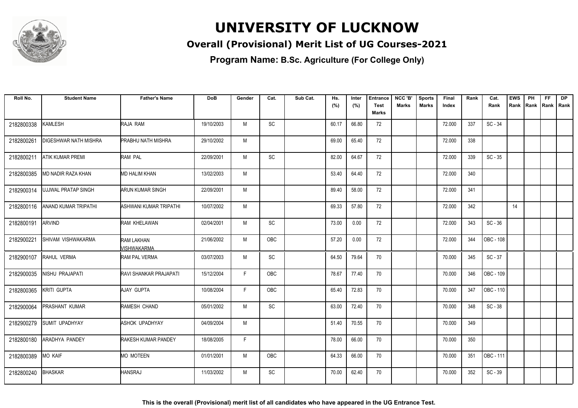

### **Overall (Provisional) Merit List of UG Courses-2021**

| Roll No.   | <b>Student Name</b>   | <b>Father's Name</b>             | <b>DoB</b> | Gender | Cat.                         | Sub Cat. | Hs.   | Inter | <b>Entrance</b> | NCC 'B'      | <b>Sports</b> | Final  | Rank | Cat.      | <b>EWS</b> | PH   | FF.         | <b>DP</b> |
|------------|-----------------------|----------------------------------|------------|--------|------------------------------|----------|-------|-------|-----------------|--------------|---------------|--------|------|-----------|------------|------|-------------|-----------|
|            |                       |                                  |            |        |                              |          | (%)   | (%)   | <b>Test</b>     | <b>Marks</b> | Marks         | Index  |      | Rank      | Rank       | Rank | Rank   Rank |           |
|            |                       |                                  |            |        |                              |          |       |       | Marks           |              |               |        |      |           |            |      |             |           |
| 2182800338 | <b>KAMLESH</b>        | RAJA RAM                         | 19/10/2003 | M      | SC                           |          | 60.17 | 66.80 | 72              |              |               | 72.000 | 337  | $SC - 34$ |            |      |             |           |
| 2182800261 | DIGESHWAR NATH MISHRA | <b>PRABHU NATH MISHRA</b>        | 29/10/2002 | M      |                              |          | 69.00 | 65.40 | 72              |              |               | 72.000 | 338  |           |            |      |             |           |
| 2182800211 | ATIK KUMAR PREMI      | RAM PAL                          | 22/09/2001 | M      | <b>SC</b>                    |          | 82.00 | 64.67 | 72              |              |               | 72.000 | 339  | $SC - 35$ |            |      |             |           |
| 2182800385 | MD NADIR RAZA KHAN    | MD HALIM KHAN                    | 13/02/2003 | M      |                              |          | 53.40 | 64.40 | 72              |              |               | 72.000 | 340  |           |            |      |             |           |
| 2182900314 | UJJWAL PRATAP SINGH   | <b>ARUN KUMAR SINGH</b>          | 22/09/2001 | M      |                              |          | 89.40 | 58.00 | 72              |              |               | 72.000 | 341  |           |            |      |             |           |
| 2182800116 | ANAND KUMAR TRIPATHI  | ASHWANI KUMAR TRIPATHI           | 10/07/2002 | M      |                              |          | 69.33 | 57.80 | 72              |              |               | 72.000 | 342  |           | 14         |      |             |           |
| 2182800191 | <b>ARVIND</b>         | RAM KHELAWAN                     | 02/04/2001 | M      | <b>SC</b>                    |          | 73.00 | 0.00  | 72              |              |               | 72.000 | 343  | $SC - 36$ |            |      |             |           |
| 2182900221 | SHIVAM VISHWAKARMA    | <b>RAM LAKHAN</b><br>VISHWAKARMA | 21/06/2002 | M      | <b>OBC</b>                   |          | 57.20 | 0.00  | 72              |              |               | 72.000 | 344  | OBC - 108 |            |      |             |           |
| 2182900107 | RAHUL VERMA           | <b>RAM PAL VERMA</b>             | 03/07/2003 | M      | <b>SC</b>                    |          | 64.50 | 79.64 | 70              |              |               | 70.000 | 345  | $SC - 37$ |            |      |             |           |
| 2182900035 | NISHU PRAJAPATI       | <b>RAVI SHANKAR PRAJAPATI</b>    | 15/12/2004 | F      | <b>OBC</b>                   |          | 78.67 | 77.40 | 70              |              |               | 70.000 | 346  | OBC - 109 |            |      |             |           |
| 2182800365 | <b>KRITI GUPTA</b>    | AJAY GUPTA                       | 10/08/2004 | F      | OBC                          |          | 65.40 | 72.83 | 70              |              |               | 70.000 | 347  | OBC - 110 |            |      |             |           |
| 2182900064 | PRASHANT KUMAR        | RAMESH CHAND                     | 05/01/2002 | M      | SC                           |          | 63.00 | 72.40 | 70              |              |               | 70.000 | 348  | $SC - 38$ |            |      |             |           |
| 2182900279 | <b>SUMIT UPADHYAY</b> | <b>ASHOK UPADHYAY</b>            | 04/09/2004 | M      |                              |          | 51.40 | 70.55 | 70              |              |               | 70.000 | 349  |           |            |      |             |           |
| 2182800180 | ARADHYA PANDEY        | <b>RAKESH KUMAR PANDEY</b>       | 18/08/2005 | F      |                              |          | 78.00 | 66.00 | 70              |              |               | 70.000 | 350  |           |            |      |             |           |
| 2182800389 | <b>MO KAIF</b>        | <b>MO MOTEEN</b>                 | 01/01/2001 | M      | <b>OBC</b>                   |          | 64.33 | 66.00 | 70              |              |               | 70.000 | 351  | OBC - 111 |            |      |             |           |
| 2182800240 | <b>BHASKAR</b>        | <b>HANSRAJ</b>                   | 11/03/2002 | M      | $\operatorname{\textsf{SC}}$ |          | 70.00 | 62.40 | 70              |              |               | 70.000 | 352  | $SC - 39$ |            |      |             |           |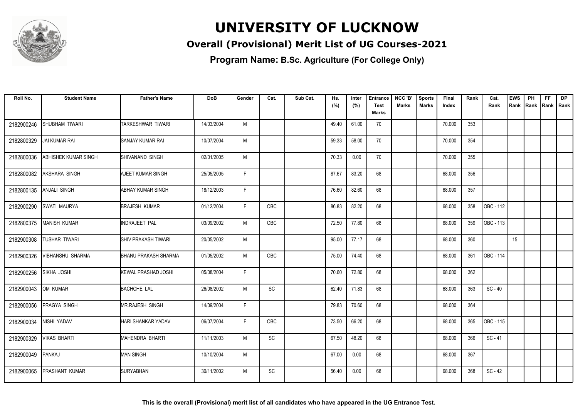

### **Overall (Provisional) Merit List of UG Courses-2021**

| Roll No.   | <b>Student Name</b>     | <b>Father's Name</b>         | <b>DoB</b> | Gender | Cat.                         | Sub Cat. | Hs.   | Inter | <b>Entrance</b>             | NCC 'B' | <b>Sports</b> | Final  | Rank | Cat.      | <b>EWS</b> | PH                | <b>FF</b> | <b>DP</b> |
|------------|-------------------------|------------------------------|------------|--------|------------------------------|----------|-------|-------|-----------------------------|---------|---------------|--------|------|-----------|------------|-------------------|-----------|-----------|
|            |                         |                              |            |        |                              |          | (%)   | (%)   | <b>Test</b><br><b>Marks</b> | Marks   | Marks         | Index  |      | Rank      | Rank       | Rank  Rank   Rank |           |           |
| 2182900246 | SHUBHAM TIWARI          | TARKESHWAR TIWARI            | 14/03/2004 | M      |                              |          | 49.40 | 61.00 | 70                          |         |               | 70.000 | 353  |           |            |                   |           |           |
| 2182800329 | JAI KUMAR RAI           | SANJAY KUMAR RAI             | 10/07/2004 | M      |                              |          | 59.33 | 58.00 | 70                          |         |               | 70.000 | 354  |           |            |                   |           |           |
| 2182800036 | ABHISHEK KUMAR SINGH    | SHIVANAND SINGH              | 02/01/2005 | M      |                              |          | 70.33 | 0.00  | 70                          |         |               | 70.000 | 355  |           |            |                   |           |           |
| 2182800082 | AKSHARA SINGH           | AJEET KUMAR SINGH            | 25/05/2005 | F      |                              |          | 87.67 | 83.20 | 68                          |         |               | 68.000 | 356  |           |            |                   |           |           |
| 2182800135 | <b>ANJALI SINGH</b>     | <b>ABHAY KUMAR SINGH</b>     | 18/12/2003 | F.     |                              |          | 76.60 | 82.60 | 68                          |         |               | 68.000 | 357  |           |            |                   |           |           |
| 2182900290 | SWATI MAURYA            | <b>BRAJESH KUMAR</b>         | 01/12/2004 | F      | OBC                          |          | 86.83 | 82.20 | 68                          |         |               | 68.000 | 358  | OBC - 112 |            |                   |           |           |
| 2182800375 | <b>MANISH KUMAR</b>     | INDRAJEET PAL                | 03/09/2002 | M      | <b>OBC</b>                   |          | 72.50 | 77.80 | 68                          |         |               | 68.000 | 359  | OBC - 113 |            |                   |           |           |
| 2182900308 | TUSHAR TIWARI           | <b>SHIV PRAKASH TIWARI</b>   | 20/05/2002 | M      |                              |          | 95.00 | 77.17 | 68                          |         |               | 68.000 | 360  |           | 15         |                   |           |           |
| 2182900326 | <b>VIBHANSHU SHARMA</b> | BHANU PRAKASH SHARMA         | 01/05/2002 | M      | OBC                          |          | 75.00 | 74.40 | 68                          |         |               | 68.000 | 361  | OBC - 114 |            |                   |           |           |
| 2182900256 | SIKHA JOSHI             | <b>I</b> KEWAL PRASHAD JOSHI | 05/08/2004 | F.     |                              |          | 70.60 | 72.80 | 68                          |         |               | 68.000 | 362  |           |            |                   |           |           |
| 2182900043 | OM KUMAR                | <b>BACHCHE LAL</b>           | 26/08/2002 | M      | SC                           |          | 62.40 | 71.83 | 68                          |         |               | 68.000 | 363  | $SC - 40$ |            |                   |           |           |
| 2182900056 | PRAGYA SINGH            | MR.RAJESH SINGH              | 14/09/2004 | F.     |                              |          | 79.83 | 70.60 | 68                          |         |               | 68.000 | 364  |           |            |                   |           |           |
| 2182900034 | NISHI YADAV             | HARI SHANKAR YADAV           | 06/07/2004 | F      | OBC                          |          | 73.50 | 66.20 | 68                          |         |               | 68.000 | 365  | OBC - 115 |            |                   |           |           |
| 2182900329 | <b>VIKAS BHARTI</b>     | MAHENDRA BHARTI              | 11/11/2003 | M      | <b>SC</b>                    |          | 67.50 | 48.20 | 68                          |         |               | 68.000 | 366  | $SC - 41$ |            |                   |           |           |
| 2182900049 | PANKAJ                  | <b>MAN SINGH</b>             | 10/10/2004 | M      |                              |          | 67.00 | 0.00  | 68                          |         |               | 68.000 | 367  |           |            |                   |           |           |
| 2182900065 | PRASHANT KUMAR          | ISURYABHAN                   | 30/11/2002 | M      | $\operatorname{\textsf{SC}}$ |          | 56.40 | 0.00  | 68                          |         |               | 68.000 | 368  | $SC - 42$ |            |                   |           |           |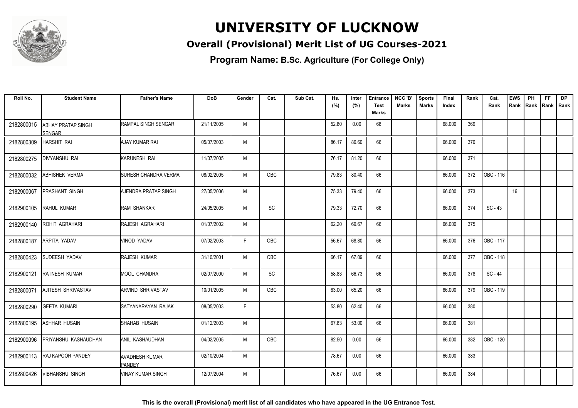

### **Overall (Provisional) Merit List of UG Courses-2021**

**Program Name: B.Sc. Agriculture (For College Only)**

| Roll No.   | <b>Student Name</b>          | <b>Father's Name</b>                   | <b>DoB</b> | Gender | Cat.       | Sub Cat. | Hs.   | Inter | <b>Entrance</b>             | NCC 'B'      | <b>Sports</b> | Final  | Rank | Cat.      | <b>EWS</b> | PH   | FF. | <b>DP</b>   |
|------------|------------------------------|----------------------------------------|------------|--------|------------|----------|-------|-------|-----------------------------|--------------|---------------|--------|------|-----------|------------|------|-----|-------------|
|            |                              |                                        |            |        |            |          | (%)   | (%)   | <b>Test</b><br><b>Marks</b> | <b>Marks</b> | Marks         | Index  |      | Rank      | Rank       | Rank |     | Rank   Rank |
| 2182800015 |                              | RAMPAL SINGH SENGAR                    | 21/11/2005 | M      |            |          | 52.80 | 0.00  | 68                          |              |               | 68.000 | 369  |           |            |      |     |             |
|            | ABHAY PRATAP SINGH<br>SENGAR |                                        |            |        |            |          |       |       |                             |              |               |        |      |           |            |      |     |             |
| 2182800309 | <b>HARSHIT RAI</b>           | AJAY KUMAR RAI                         | 05/07/2003 | М      |            |          | 86.17 | 86.60 | 66                          |              |               | 66.000 | 370  |           |            |      |     |             |
| 2182800275 | <b>DIVYANSHU RAI</b>         | KARUNESH RAI                           | 11/07/2005 | M      |            |          | 76.17 | 81.20 | 66                          |              |               | 66.000 | 371  |           |            |      |     |             |
| 2182800032 | ABHISHEK VERMA               | <b>SURESH CHANDRA VERMA</b>            | 08/02/2005 | M      | <b>OBC</b> |          | 79.83 | 80.40 | 66                          |              |               | 66.000 | 372  | OBC - 116 |            |      |     |             |
| 2182900067 | PRASHANT SINGH               | AJENDRA PRATAP SINGH                   | 27/05/2006 | M      |            |          | 75.33 | 79.40 | 66                          |              |               | 66.000 | 373  |           | 16         |      |     |             |
| 2182900105 | RAHUL KUMAR                  | RAM SHANKAR                            | 24/05/2005 | M      | SC         |          | 79.33 | 72.70 | 66                          |              |               | 66.000 | 374  | $SC - 43$ |            |      |     |             |
| 2182900140 | ROHIT AGRAHARI               | RAJESH AGRAHARI                        | 01/07/2002 | M      |            |          | 62.20 | 69.67 | 66                          |              |               | 66.000 | 375  |           |            |      |     |             |
| 2182800187 | ARPITA YADAV                 | <b>VINOD YADAV</b>                     | 07/02/2003 | F      | OBC        |          | 56.67 | 68.80 | 66                          |              |               | 66.000 | 376  | OBC - 117 |            |      |     |             |
| 2182800423 | SUDEESH YADAV                | RAJESH KUMAR                           | 31/10/2001 | M      | OBC        |          | 66.17 | 67.09 | 66                          |              |               | 66.000 | 377  | OBC - 118 |            |      |     |             |
| 2182900121 | <b>RATNESH KUMAR</b>         | <b>MOOL CHANDRA</b>                    | 02/07/2000 | М      | <b>SC</b>  |          | 58.83 | 66.73 | 66                          |              |               | 66.000 | 378  | SC - 44   |            |      |     |             |
| 2182800071 | AJITESH SHRIVASTAV           | <b>ARVIND SHRIVASTAV</b>               | 10/01/2005 | M      | OBC        |          | 63.00 | 65.20 | 66                          |              |               | 66.000 | 379  | OBC - 119 |            |      |     |             |
| 2182800290 | GEETA KUMARI                 | ISATYANARAYAN RAJAK                    | 08/05/2003 | F      |            |          | 53.80 | 62.40 | 66                          |              |               | 66.000 | 380  |           |            |      |     |             |
| 2182800195 | <b>ASHHAR HUSAIN</b>         | SHAHAB HUSAIN                          | 01/12/2003 | M      |            |          | 67.83 | 53.00 | 66                          |              |               | 66.000 | 381  |           |            |      |     |             |
| 2182900096 | PRIYANSHU KASHAUDHAN         | ANIL KASHAUDHAN                        | 04/02/2005 | M      | <b>OBC</b> |          | 82.50 | 0.00  | 66                          |              |               | 66.000 | 382  | OBC - 120 |            |      |     |             |
| 2182900113 | <b>RAJ KAPOOR PANDEY</b>     | <b>AVADHESH KUMAR</b><br><b>PANDEY</b> | 02/10/2004 | M      |            |          | 78.67 | 0.00  | 66                          |              |               | 66.000 | 383  |           |            |      |     |             |
| 2182800426 | VIBHANSHU SINGH              | VINAY KUMAR SINGH                      | 12/07/2004 | M      |            |          | 76.67 | 0.00  | 66                          |              |               | 66.000 | 384  |           |            |      |     |             |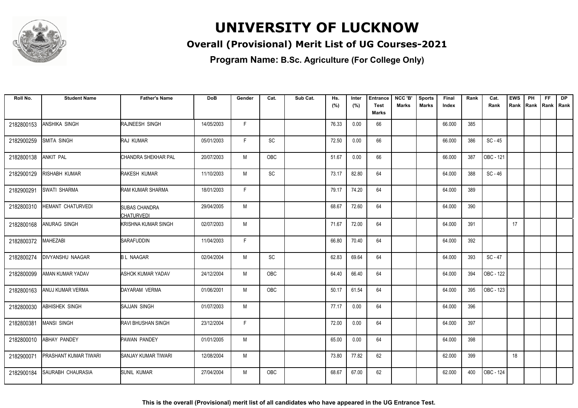

### **Overall (Provisional) Merit List of UG Courses-2021**

| Roll No.   | <b>Student Name</b>      | <b>Father's Name</b>                      | <b>DoB</b> | Gender | Cat.       | Sub Cat. | Hs.   | Inter | <b>Entrance</b> | NCC 'B'      | <b>Sports</b> | Final  | Rank | Cat.      | <b>EWS</b> | PH   | FF. | <b>DP</b>   |
|------------|--------------------------|-------------------------------------------|------------|--------|------------|----------|-------|-------|-----------------|--------------|---------------|--------|------|-----------|------------|------|-----|-------------|
|            |                          |                                           |            |        |            |          | (%)   | (%)   | <b>Test</b>     | <b>Marks</b> | Marks         | Index  |      | Rank      | Rank       | Rank |     | Rank   Rank |
|            |                          |                                           |            |        |            |          |       |       | Marks           |              |               |        |      |           |            |      |     |             |
| 2182800153 | ANSHIKA SINGH            | RAJNEESH SINGH                            | 14/05/2003 | F      |            |          | 76.33 | 0.00  | 66              |              |               | 66.000 | 385  |           |            |      |     |             |
| 2182900259 | SMITA SINGH              | RAJ KUMAR                                 | 05/01/2003 | F.     | SC         |          | 72.50 | 0.00  | 66              |              |               | 66.000 | 386  | $SC - 45$ |            |      |     |             |
| 2182800138 | <b>ANKIT PAL</b>         | <b>ICHANDRA SHEKHAR PAL</b>               | 20/07/2003 | M      | <b>OBC</b> |          | 51.67 | 0.00  | 66              |              |               | 66.000 | 387  | OBC - 121 |            |      |     |             |
| 2182900129 | RISHABH KUMAR            | RAKESH KUMAR                              | 11/10/2003 | M      | SC         |          | 73.17 | 82.80 | 64              |              |               | 64.000 | 388  | $SC - 46$ |            |      |     |             |
| 2182900291 | <b>SWATI SHARMA</b>      | RAM KUMAR SHARMA                          | 18/01/2003 | F      |            |          | 79.17 | 74.20 | 64              |              |               | 64.000 | 389  |           |            |      |     |             |
| 2182800310 | <b>HEMANT CHATURVEDI</b> | <b>SUBAS CHANDRA</b><br><b>CHATURVEDI</b> | 29/04/2005 | M      |            |          | 68.67 | 72.60 | 64              |              |               | 64.000 | 390  |           |            |      |     |             |
| 2182800168 | ANURAG SINGH             | <b>KRISHNA KUMAR SINGH</b>                | 02/07/2003 | M      |            |          | 71.67 | 72.00 | 64              |              |               | 64.000 | 391  |           | 17         |      |     |             |
| 2182800372 | MAHEZABI                 | SARAFUDDIN                                | 11/04/2003 | F.     |            |          | 66.80 | 70.40 | 64              |              |               | 64.000 | 392  |           |            |      |     |             |
| 2182800274 | DIVYANSHU NAAGAR         | <b>BL NAAGAR</b>                          | 02/04/2004 | M      | SC         |          | 62.83 | 69.64 | 64              |              |               | 64.000 | 393  | $SC - 47$ |            |      |     |             |
| 2182800099 | AMAN KUMAR YADAV         | <b>ASHOK KUMAR YADAV</b>                  | 24/12/2004 | M      | <b>OBC</b> |          | 64.40 | 66.40 | 64              |              |               | 64.000 | 394  | OBC - 122 |            |      |     |             |
| 2182800163 | ANUJ KUMAR VERMA         | DAYARAM VERMA                             | 01/06/2001 | M      | OBC        |          | 50.17 | 61.54 | 64              |              |               | 64.000 | 395  | OBC - 123 |            |      |     |             |
| 2182800030 | ABHISHEK SINGH           | <b>SAJJAN SINGH</b>                       | 01/07/2003 | M      |            |          | 77.17 | 0.00  | 64              |              |               | 64.000 | 396  |           |            |      |     |             |
| 2182800381 | <b>MANSI SINGH</b>       | <b>RAVI BHUSHAN SINGH</b>                 | 23/12/2004 | F      |            |          | 72.00 | 0.00  | 64              |              |               | 64.000 | 397  |           |            |      |     |             |
| 2182800010 | ABHAY PANDEY             | <b>PAWAN PANDEY</b>                       | 01/01/2005 | M      |            |          | 65.00 | 0.00  | 64              |              |               | 64.000 | 398  |           |            |      |     |             |
| 2182900071 | PRASHANT KUMAR TIWARI    | <b>SANJAY KUMAR TIWARI</b>                | 12/08/2004 | M      |            |          | 73.80 | 77.82 | 62              |              |               | 62.000 | 399  |           | 18         |      |     |             |
| 2182900184 | SAURABH CHAURASIA        | <b>SUNIL KUMAR</b>                        | 27/04/2004 | M      | OBC        |          | 68.67 | 67.00 | 62              |              |               | 62.000 | 400  | OBC - 124 |            |      |     |             |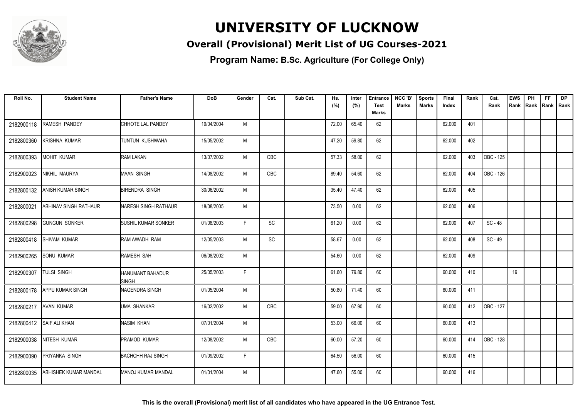

### **Overall (Provisional) Merit List of UG Courses-2021**

| Roll No.   | <b>Student Name</b>          | <b>Father's Name</b>             | <b>DoB</b> | Gender | Cat.       | Sub Cat. | Hs.   | Inter | <b>Entrance</b>             | NCC 'B' | <b>Sports</b> | Final  | Rank | Cat.      | <b>EWS</b> | PH | <b>FF</b>          | <b>DP</b> |
|------------|------------------------------|----------------------------------|------------|--------|------------|----------|-------|-------|-----------------------------|---------|---------------|--------|------|-----------|------------|----|--------------------|-----------|
|            |                              |                                  |            |        |            |          | (%)   | (%)   | <b>Test</b><br><b>Marks</b> | Marks   | Marks         | Index  |      | Rank      | Rank       |    | Rank   Rank   Rank |           |
| 2182900118 | <b>RAMESH PANDEY</b>         | CHHOTE LAL PANDEY                | 19/04/2004 | M      |            |          | 72.00 | 65.40 | 62                          |         |               | 62.000 | 401  |           |            |    |                    |           |
| 2182800360 | <b>KRISHNA KUMAR</b>         | TUNTUN KUSHWAHA                  | 15/05/2002 | M      |            |          | 47.20 | 59.80 | 62                          |         |               | 62.000 | 402  |           |            |    |                    |           |
| 2182800393 | <b>MOHIT KUMAR</b>           | RAM LAKAN                        | 13/07/2002 | M      | OBC        |          | 57.33 | 58.00 | 62                          |         |               | 62.000 | 403  | OBC - 125 |            |    |                    |           |
| 2182900023 | NIKHIL MAURYA                | MAAN SINGH                       | 14/08/2002 | M      | <b>OBC</b> |          | 89.40 | 54.60 | 62                          |         |               | 62.000 | 404  | OBC - 126 |            |    |                    |           |
| 2182800132 | <b>ANISH KUMAR SINGH</b>     | <b>BIRENDRA SINGH</b>            | 30/06/2002 | M      |            |          | 35.40 | 47.40 | 62                          |         |               | 62.000 | 405  |           |            |    |                    |           |
| 2182800021 | <b>ABHINAV SINGH RATHAUR</b> | NARESH SINGH RATHAUR             | 18/08/2005 | M      |            |          | 73.50 | 0.00  | 62                          |         |               | 62.000 | 406  |           |            |    |                    |           |
| 2182800298 | <b>GUNGUN SONKER</b>         | <b>SUSHIL KUMAR SONKER</b>       | 01/08/2003 | F      | SC         |          | 61.20 | 0.00  | 62                          |         |               | 62.000 | 407  | SC-48     |            |    |                    |           |
| 2182800418 | SHIVAM KUMAR                 | RAM AWADH RAM                    | 12/05/2003 | M      | SC         |          | 58.67 | 0.00  | 62                          |         |               | 62.000 | 408  | $SC - 49$ |            |    |                    |           |
| 2182900265 | <b>SONU KUMAR</b>            | RAMESH SAH                       | 06/08/2002 | M      |            |          | 54.60 | 0.00  | 62                          |         |               | 62.000 | 409  |           |            |    |                    |           |
| 2182900307 | <b>TULSI SINGH</b>           | HANUMANT BAHADUR<br><b>SINGH</b> | 25/05/2003 | F.     |            |          | 61.60 | 79.80 | 60                          |         |               | 60.000 | 410  |           | 19         |    |                    |           |
| 2182800178 | <b>APPU KUMAR SINGH</b>      | NAGENDRA SINGH                   | 01/05/2004 | M      |            |          | 50.80 | 71.40 | 60                          |         |               | 60.000 | 411  |           |            |    |                    |           |
| 2182800217 | <b>AVAN KUMAR</b>            | <b>IUMA SHANKAR</b>              | 16/02/2002 | M      | <b>OBC</b> |          | 59.00 | 67.90 | 60                          |         |               | 60.000 | 412  | OBC - 127 |            |    |                    |           |
| 2182800412 | <b>SAIF ALI KHAN</b>         | NASIM KHAN                       | 07/01/2004 | M      |            |          | 53.00 | 66.00 | 60                          |         |               | 60.000 | 413  |           |            |    |                    |           |
| 2182900038 | NITESH KUMAR                 | PRAMOD KUMAR                     | 12/08/2002 | M      | OBC        |          | 60.00 | 57.20 | 60                          |         |               | 60.000 | 414  | OBC - 128 |            |    |                    |           |
| 2182900090 | PRIYANKA SINGH               | <b>BACHCHH RAJ SINGH</b>         | 01/09/2002 | F      |            |          | 64.50 | 56.00 | 60                          |         |               | 60.000 | 415  |           |            |    |                    |           |
| 2182800035 | ABHISHEK KUMAR MANDAL        | MANOJ KUMAR MANDAL               | 01/01/2004 | M      |            |          | 47.60 | 55.00 | 60                          |         |               | 60.000 | 416  |           |            |    |                    |           |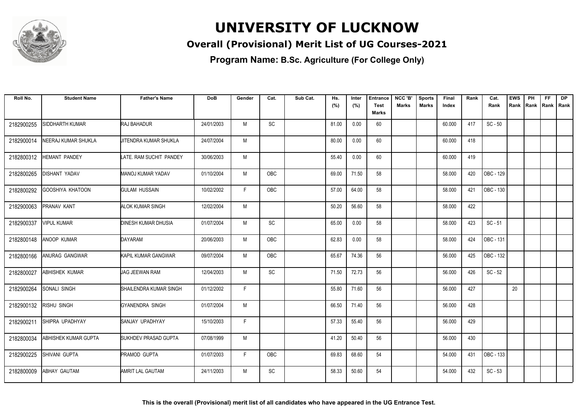

### **Overall (Provisional) Merit List of UG Courses-2021**

| Roll No.   | <b>Student Name</b>     | <b>Father's Name</b>         | <b>DoB</b> | Gender | Cat.                         | Sub Cat. | Hs.   | Inter | <b>Entrance</b>      | NCC 'B' | <b>Sports</b> | Final  | Rank | Cat.      | <b>EWS</b> | PH   | <b>FF</b>   | <b>DP</b> |
|------------|-------------------------|------------------------------|------------|--------|------------------------------|----------|-------|-------|----------------------|---------|---------------|--------|------|-----------|------------|------|-------------|-----------|
|            |                         |                              |            |        |                              |          | (%)   | (%)   | <b>Test</b><br>Marks | Marks   | Marks         | Index  |      | Rank      | Rank       | Rank | Rank   Rank |           |
|            |                         |                              |            |        |                              |          |       |       |                      |         |               |        |      |           |            |      |             |           |
| 2182900255 | SIDDHARTH KUMAR         | <b>RAJ BAHADUR</b>           | 24/01/2003 | M      | <b>SC</b>                    |          | 81.00 | 0.00  | 60                   |         |               | 60.000 | 417  | $SC - 50$ |            |      |             |           |
| 2182900014 | NEERAJ KUMAR SHUKLA     | <b>JITENDRA KUMAR SHUKLA</b> | 24/07/2004 | M      |                              |          | 80.00 | 0.00  | 60                   |         |               | 60.000 | 418  |           |            |      |             |           |
| 2182800312 | HEMANT PANDEY           | LATE. RAM SUCHIT PANDEY      | 30/06/2003 | M      |                              |          | 55.40 | 0.00  | 60                   |         |               | 60.000 | 419  |           |            |      |             |           |
| 2182800265 | DISHANT YADAV           | <b>MANOJ KUMAR YADAV</b>     | 01/10/2004 | M      | <b>OBC</b>                   |          | 69.00 | 71.50 | 58                   |         |               | 58.000 | 420  | OBC - 129 |            |      |             |           |
| 2182800292 | <b>GOOSHIYA KHATOON</b> | <b>GULAM HUSSAIN</b>         | 10/02/2002 | E      | <b>OBC</b>                   |          | 57.00 | 64.00 | 58                   |         |               | 58.000 | 421  | OBC - 130 |            |      |             |           |
| 2182900063 | PRANAV KANT             | <b>ALOK KUMAR SINGH</b>      | 12/02/2004 | M      |                              |          | 50.20 | 56.60 | 58                   |         |               | 58.000 | 422  |           |            |      |             |           |
| 2182900337 | <b>VIPUL KUMAR</b>      | <b>DINESH KUMAR DHUSIA</b>   | 01/07/2004 | M      | SC                           |          | 65.00 | 0.00  | 58                   |         |               | 58.000 | 423  | $SC - 51$ |            |      |             |           |
| 2182800148 | <b>ANOOP KUMAR</b>      | DAYARAM                      | 20/06/2003 | M      | <b>OBC</b>                   |          | 62.83 | 0.00  | 58                   |         |               | 58.000 | 424  | OBC - 131 |            |      |             |           |
| 2182800166 | ANURAG GANGWAR          | KAPIL KUMAR GANGWAR          | 09/07/2004 | M      | OBC                          |          | 65.67 | 74.36 | 56                   |         |               | 56.000 | 425  | OBC - 132 |            |      |             |           |
| 2182800027 | ABHISHEK KUMAR          | <b>JAG JEEWAN RAM</b>        | 12/04/2003 | M      | SC                           |          | 71.50 | 72.73 | 56                   |         |               | 56.000 | 426  | $SC - 52$ |            |      |             |           |
| 2182900264 | SONALI SINGH            | SHAILENDRA KUMAR SINGH       | 01/12/2002 | F      |                              |          | 55.80 | 71.60 | 56                   |         |               | 56.000 | 427  |           | 20         |      |             |           |
| 2182900132 | <b>RISHU SINGH</b>      | <b>GYANENDRA SINGH</b>       | 01/07/2004 | M      |                              |          | 66.50 | 71.40 | 56                   |         |               | 56.000 | 428  |           |            |      |             |           |
| 2182900211 | SHIPRA UPADHYAY         | SANJAY UPADHYAY              | 15/10/2003 | F.     |                              |          | 57.33 | 55.40 | 56                   |         |               | 56.000 | 429  |           |            |      |             |           |
| 2182800034 | ABHISHEK KUMAR GUPTA    | SUKHDEV PRASAD GUPTA         | 07/08/1999 | M      |                              |          | 41.20 | 50.40 | 56                   |         |               | 56.000 | 430  |           |            |      |             |           |
| 2182900225 | SHIVANI GUPTA           | <b>PRAMOD GUPTA</b>          | 01/07/2003 | F.     | <b>OBC</b>                   |          | 69.83 | 68.60 | 54                   |         |               | 54.000 | 431  | OBC - 133 |            |      |             |           |
| 2182800009 | ABHAY GAUTAM            | AMRIT LAL GAUTAM             | 24/11/2003 | M      | $\operatorname{\textsf{SC}}$ |          | 58.33 | 50.60 | 54                   |         |               | 54.000 | 432  | $SC - 53$ |            |      |             |           |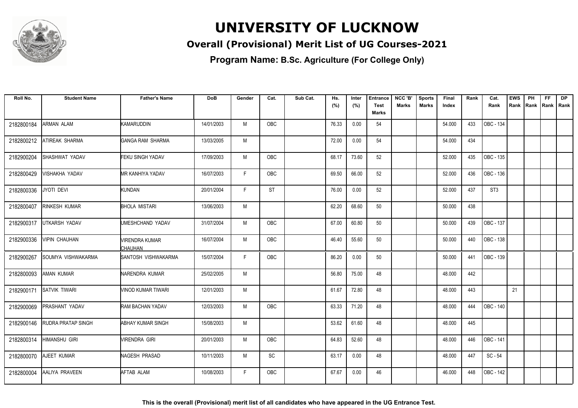

### **Overall (Provisional) Merit List of UG Courses-2021**

| Roll No.   | <b>Student Name</b>       | <b>Father's Name</b>        | <b>DoB</b> | Gender | Cat.       | Sub Cat. | Hs.   | Inter | <b>Entrance</b> | NCC 'B'      | <b>Sports</b> | Final  | Rank | Cat.            | <b>EWS</b> | PH   | FF. | <b>DP</b>   |
|------------|---------------------------|-----------------------------|------------|--------|------------|----------|-------|-------|-----------------|--------------|---------------|--------|------|-----------------|------------|------|-----|-------------|
|            |                           |                             |            |        |            |          | (%)   | (%)   | <b>Test</b>     | <b>Marks</b> | Marks         | Index  |      | Rank            | Rank       | Rank |     | Rank   Rank |
|            |                           |                             |            |        |            |          |       |       | Marks           |              |               |        |      |                 |            |      |     |             |
| 2182800184 | ARMAN ALAM                | <b>KAMARUDDIN</b>           | 14/01/2003 | M      | OBC        |          | 76.33 | 0.00  | 54              |              |               | 54.000 | 433  | OBC - 134       |            |      |     |             |
| 2182800212 | ATIREAK SHARMA            | GANGA RAM SHARMA            | 13/03/2005 | M      |            |          | 72.00 | 0.00  | 54              |              |               | 54.000 | 434  |                 |            |      |     |             |
| 2182900204 | SHASHWAT YADAV            | <b>FEKU SINGH YADAV</b>     | 17/09/2003 | M      | <b>OBC</b> |          | 68.17 | 73.60 | 52              |              |               | 52.000 | 435  | OBC - 135       |            |      |     |             |
| 2182800429 | <b>VISHAKHA YADAV</b>     | <b>MR KANHIYA YADAV</b>     | 16/07/2003 | F      | OBC        |          | 69.50 | 66.00 | 52              |              |               | 52.000 | 436  | OBC - 136       |            |      |     |             |
| 2182800336 | JYOTI DEVI                | KUNDAN                      | 20/01/2004 | F      | <b>ST</b>  |          | 76.00 | 0.00  | 52              |              |               | 52.000 | 437  | ST <sub>3</sub> |            |      |     |             |
| 2182800407 | RINKESH KUMAR             | <b>BHOLA MISTARI</b>        | 13/06/2003 | M      |            |          | 62.20 | 68.60 | 50              |              |               | 50.000 | 438  |                 |            |      |     |             |
| 2182900317 | UTKARSH YADAV             | UMESHCHAND YADAV            | 31/07/2004 | M      | <b>OBC</b> |          | 67.00 | 60.80 | 50              |              |               | 50.000 | 439  | OBC - 137       |            |      |     |             |
| 2182900336 | <b>VIPIN CHAUHAN</b>      | VIRENDRA KUMAR<br>CHAUHAN   | 16/07/2004 | M      | OBC        |          | 46.40 | 55.60 | 50              |              |               | 50.000 | 440  | OBC - 138       |            |      |     |             |
| 2182900267 | SOUMYA VISHWAKARMA        | <b>ISANTOSH VISHWAKARMA</b> | 15/07/2004 | F.     | <b>OBC</b> |          | 86.20 | 0.00  | 50              |              |               | 50.000 | 441  | OBC - 139       |            |      |     |             |
| 2182800093 | AMAN KUMAR                | NARENDRA KUMAR              | 25/02/2005 | M      |            |          | 56.80 | 75.00 | 48              |              |               | 48.000 | 442  |                 |            |      |     |             |
| 2182900171 | <b>SATVIK TIWARI</b>      | <b>VINOD KUMAR TIWARI</b>   | 12/01/2003 | M      |            |          | 61.67 | 72.80 | 48              |              |               | 48.000 | 443  |                 | 21         |      |     |             |
| 2182900069 | PRASHANT YADAV            | RAM BACHAN YADAV            | 12/03/2003 | M      | OBC        |          | 63.33 | 71.20 | 48              |              |               | 48.000 | 444  | OBC - 140       |            |      |     |             |
| 2182900146 | <b>RUDRA PRATAP SINGH</b> | <b>ABHAY KUMAR SINGH</b>    | 15/08/2003 | M      |            |          | 53.62 | 61.60 | 48              |              |               | 48.000 | 445  |                 |            |      |     |             |
| 2182800314 | <b>HIMANSHU GIRI</b>      | <b>VIRENDRA GIRI</b>        | 20/01/2003 | M      | <b>OBC</b> |          | 64.83 | 52.60 | 48              |              |               | 48.000 | 446  | OBC - 141       |            |      |     |             |
| 2182800070 | AJEET KUMAR               | NAGESH PRASAD               | 10/11/2003 | M      | SC         |          | 63.17 | 0.00  | 48              |              |               | 48.000 | 447  | $SC - 54$       |            |      |     |             |
| 2182800004 | AALIYA PRAVEEN            | AFTAB ALAM                  | 10/08/2003 | F.     | OBC        |          | 67.67 | 0.00  | 46              |              |               | 46.000 | 448  | OBC - 142       |            |      |     |             |